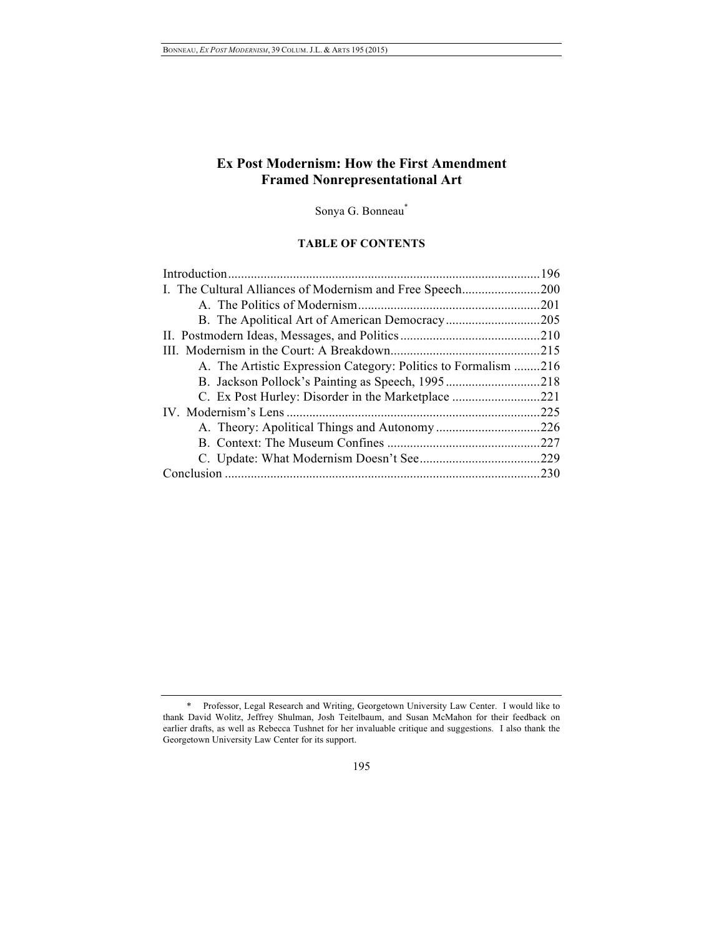# **Ex Post Modernism: How the First Amendment Framed Nonrepresentational Art**

Sonya G. Bonneau\*

# **TABLE OF CONTENTS**

| I. The Cultural Alliances of Modernism and Free Speech<br>.200 |
|----------------------------------------------------------------|
| .201                                                           |
|                                                                |
|                                                                |
| .215                                                           |
| A. The Artistic Expression Category: Politics to Formalism 216 |
|                                                                |
|                                                                |
| .225                                                           |
|                                                                |
| .227                                                           |
|                                                                |
|                                                                |
|                                                                |

<sup>\*</sup> Professor, Legal Research and Writing, Georgetown University Law Center. I would like to thank David Wolitz, Jeffrey Shulman, Josh Teitelbaum, and Susan McMahon for their feedback on earlier drafts, as well as Rebecca Tushnet for her invaluable critique and suggestions. I also thank the Georgetown University Law Center for its support.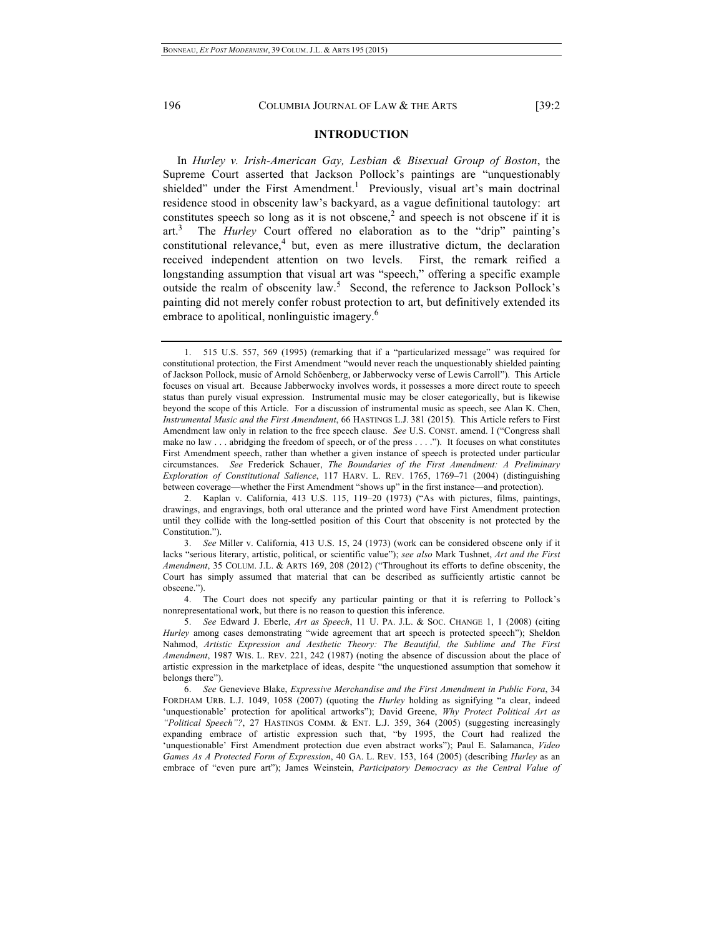## **INTRODUCTION**

In *Hurley v. Irish-American Gay, Lesbian & Bisexual Group of Boston*, the Supreme Court asserted that Jackson Pollock's paintings are "unquestionably shielded" under the First Amendment.<sup>1</sup> Previously, visual art's main doctrinal residence stood in obscenity law's backyard, as a vague definitional tautology: art constitutes speech so long as it is not obscene,<sup>2</sup> and speech is not obscene if it is  $art<sup>3</sup>$  The *Hurley* Court offered no elaboration as to the "drip" painting's constitutional relevance, $4$  but, even as mere illustrative dictum, the declaration received independent attention on two levels. First, the remark reified a longstanding assumption that visual art was "speech," offering a specific example outside the realm of obscenity law.<sup>5</sup> Second, the reference to Jackson Pollock's painting did not merely confer robust protection to art, but definitively extended its embrace to apolitical, nonlinguistic imagery.<sup>6</sup>

<sup>1.</sup> 515 U.S. 557, 569 (1995) (remarking that if a "particularized message" was required for constitutional protection, the First Amendment "would never reach the unquestionably shielded painting of Jackson Pollock, music of Arnold Schöenberg, or Jabberwocky verse of Lewis Carroll"). This Article focuses on visual art. Because Jabberwocky involves words, it possesses a more direct route to speech status than purely visual expression. Instrumental music may be closer categorically, but is likewise beyond the scope of this Article. For a discussion of instrumental music as speech, see Alan K. Chen, *Instrumental Music and the First Amendment*, 66 HASTINGS L.J. 381 (2015). This Article refers to First Amendment law only in relation to the free speech clause. *See* U.S. CONST. amend. I ("Congress shall make no law . . . abridging the freedom of speech, or of the press . . . ."). It focuses on what constitutes First Amendment speech, rather than whether a given instance of speech is protected under particular circumstances. *See* Frederick Schauer, *The Boundaries of the First Amendment: A Preliminary Exploration of Constitutional Salience*, 117 HARV. L. REV. 1765, 1769–71 (2004) (distinguishing between coverage—whether the First Amendment "shows up" in the first instance—and protection).

<sup>2.</sup> Kaplan v. California, 413 U.S. 115, 119–20 (1973) ("As with pictures, films, paintings, drawings, and engravings, both oral utterance and the printed word have First Amendment protection until they collide with the long-settled position of this Court that obscenity is not protected by the Constitution.").

<sup>3.</sup> *See* Miller v. California, 413 U.S. 15, 24 (1973) (work can be considered obscene only if it lacks "serious literary, artistic, political, or scientific value"); *see also* Mark Tushnet, *Art and the First Amendment*, 35 COLUM. J.L. & ARTS 169, 208 (2012) ("Throughout its efforts to define obscenity, the Court has simply assumed that material that can be described as sufficiently artistic cannot be obscene.").

<sup>4.</sup> The Court does not specify any particular painting or that it is referring to Pollock's nonrepresentational work, but there is no reason to question this inference.

<sup>5.</sup> *See* Edward J. Eberle, *Art as Speech*, 11 U. PA. J.L. & SOC. CHANGE 1, 1 (2008) (citing *Hurley* among cases demonstrating "wide agreement that art speech is protected speech"); Sheldon Nahmod, *Artistic Expression and Aesthetic Theory: The Beautiful, the Sublime and The First Amendment*, 1987 WIS. L. REV. 221, 242 (1987) (noting the absence of discussion about the place of artistic expression in the marketplace of ideas, despite "the unquestioned assumption that somehow it belongs there").

<sup>6.</sup> *See* Genevieve Blake, *Expressive Merchandise and the First Amendment in Public Fora*, 34 FORDHAM URB. L.J. 1049, 1058 (2007) (quoting the *Hurley* holding as signifying "a clear, indeed 'unquestionable' protection for apolitical artworks"); David Greene, *Why Protect Political Art as*  "Political Speech"?, 27 HASTINGS COMM. & ENT. L.J. 359, 364 (2005) (suggesting increasingly expanding embrace of artistic expression such that, "by 1995, the Court had realized the 'unquestionable' First Amendment protection due even abstract works"); Paul E. Salamanca, *Video Games As A Protected Form of Expression*, 40 GA. L. REV. 153, 164 (2005) (describing *Hurley* as an embrace of "even pure art"); James Weinstein, *Participatory Democracy as the Central Value of*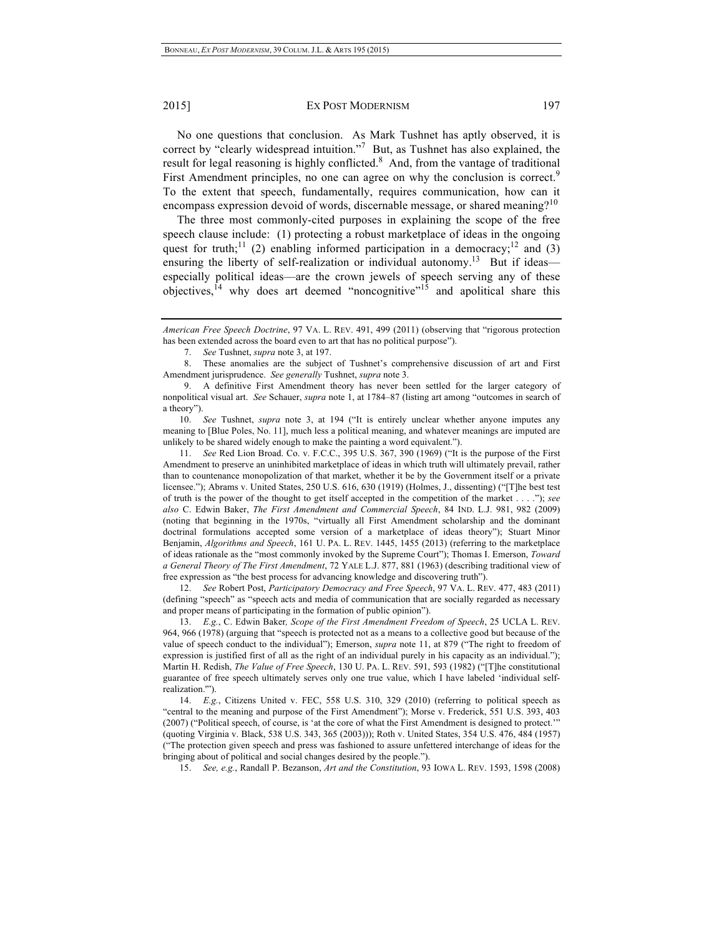No one questions that conclusion. As Mark Tushnet has aptly observed, it is correct by "clearly widespread intuition."<sup>7</sup> But, as Tushnet has also explained, the result for legal reasoning is highly conflicted.<sup>8</sup> And, from the vantage of traditional First Amendment principles, no one can agree on why the conclusion is correct.<sup>9</sup> To the extent that speech, fundamentally, requires communication, how can it encompass expression devoid of words, discernable message, or shared meaning?<sup>10</sup>

The three most commonly-cited purposes in explaining the scope of the free speech clause include: (1) protecting a robust marketplace of ideas in the ongoing quest for truth;<sup>11</sup> (2) enabling informed participation in a democracy;<sup>12</sup> and (3) ensuring the liberty of self-realization or individual autonomy.<sup>13</sup> But if ideas especially political ideas—are the crown jewels of speech serving any of these objectives,14 why does art deemed "noncognitive"15 and apolitical share this

11. *See* Red Lion Broad. Co. v. F.C.C., 395 U.S. 367, 390 (1969) ("It is the purpose of the First Amendment to preserve an uninhibited marketplace of ideas in which truth will ultimately prevail, rather than to countenance monopolization of that market, whether it be by the Government itself or a private licensee."); Abrams v. United States, 250 U.S. 616, 630 (1919) (Holmes, J., dissenting) ("[T]he best test of truth is the power of the thought to get itself accepted in the competition of the market . . . ."); *see also* C. Edwin Baker, *The First Amendment and Commercial Speech*, 84 IND. L.J. 981, 982 (2009) (noting that beginning in the 1970s, "virtually all First Amendment scholarship and the dominant doctrinal formulations accepted some version of a marketplace of ideas theory"); Stuart Minor Benjamin, *Algorithms and Speech*, 161 U. PA. L. REV. 1445, 1455 (2013) (referring to the marketplace of ideas rationale as the "most commonly invoked by the Supreme Court"); Thomas I. Emerson, *Toward a General Theory of The First Amendment*, 72 YALE L.J. 877, 881 (1963) (describing traditional view of free expression as "the best process for advancing knowledge and discovering truth").

12. *See* Robert Post, *Participatory Democracy and Free Speech*, 97 VA. L. REV. 477, 483 (2011) (defining "speech" as "speech acts and media of communication that are socially regarded as necessary and proper means of participating in the formation of public opinion").

13. *E.g.*, C. Edwin Baker*, Scope of the First Amendment Freedom of Speech*, 25 UCLA L. REV. 964, 966 (1978) (arguing that "speech is protected not as a means to a collective good but because of the value of speech conduct to the individual"); Emerson, *supra* note 11, at 879 ("The right to freedom of expression is justified first of all as the right of an individual purely in his capacity as an individual."); Martin H. Redish, *The Value of Free Speech*, 130 U. PA. L. REV. 591, 593 (1982) ("[T]he constitutional guarantee of free speech ultimately serves only one true value, which I have labeled 'individual selfrealization.'").

14. *E.g.*, Citizens United v. FEC, 558 U.S. 310, 329 (2010) (referring to political speech as "central to the meaning and purpose of the First Amendment"); Morse v. Frederick, 551 U.S. 393, 403 (2007) ("Political speech, of course, is 'at the core of what the First Amendment is designed to protect.'" (quoting Virginia v. Black, 538 U.S. 343, 365 (2003))); Roth v. United States, 354 U.S. 476, 484 (1957) ("The protection given speech and press was fashioned to assure unfettered interchange of ideas for the bringing about of political and social changes desired by the people.").

15. *See, e.g.*, Randall P. Bezanson, *Art and the Constitution*, 93 IOWA L. REV. 1593, 1598 (2008)

*American Free Speech Doctrine*, 97 VA. L. REV. 491, 499 (2011) (observing that "rigorous protection has been extended across the board even to art that has no political purpose").

<sup>7.</sup> *See* Tushnet, *supra* note 3, at 197.

<sup>8.</sup> These anomalies are the subject of Tushnet's comprehensive discussion of art and First Amendment jurisprudence. *See generally* Tushnet, *supra* note 3.

<sup>9.</sup> A definitive First Amendment theory has never been settled for the larger category of nonpolitical visual art. *See* Schauer, *supra* note 1, at 1784–87 (listing art among "outcomes in search of a theory").

<sup>10.</sup> *See* Tushnet, *supra* note 3, at 194 ("It is entirely unclear whether anyone imputes any meaning to [Blue Poles, No. 11], much less a political meaning, and whatever meanings are imputed are unlikely to be shared widely enough to make the painting a word equivalent.").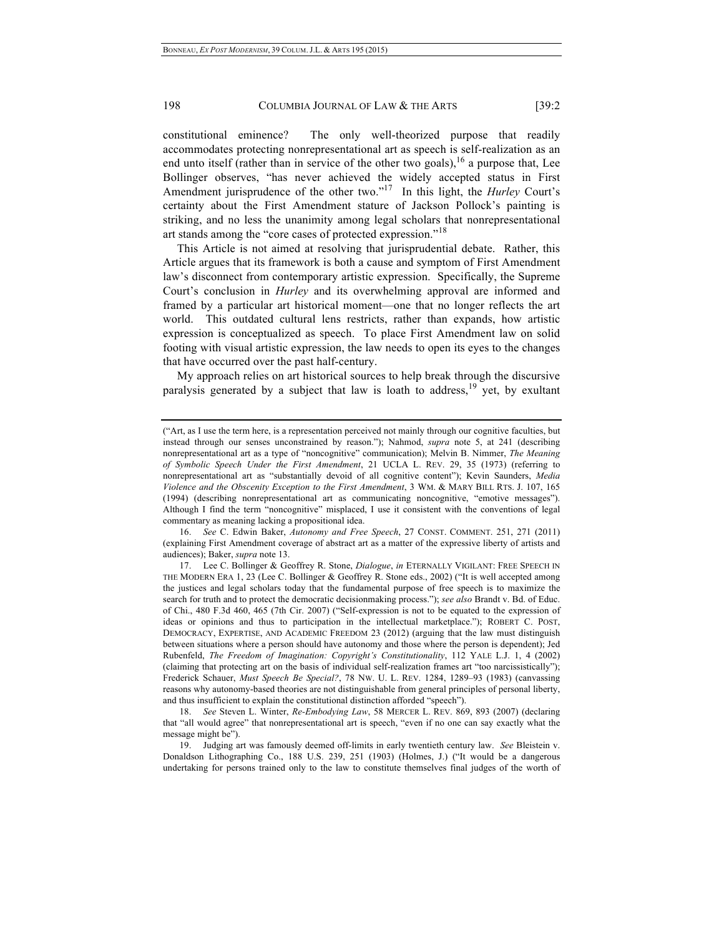constitutional eminence? The only well-theorized purpose that readily accommodates protecting nonrepresentational art as speech is self-realization as an end unto itself (rather than in service of the other two goals),  $^{16}$  a purpose that, Lee Bollinger observes, "has never achieved the widely accepted status in First Amendment jurisprudence of the other two."17 In this light, the *Hurley* Court's certainty about the First Amendment stature of Jackson Pollock's painting is striking, and no less the unanimity among legal scholars that nonrepresentational art stands among the "core cases of protected expression."<sup>18</sup>

This Article is not aimed at resolving that jurisprudential debate. Rather, this Article argues that its framework is both a cause and symptom of First Amendment law's disconnect from contemporary artistic expression. Specifically, the Supreme Court's conclusion in *Hurley* and its overwhelming approval are informed and framed by a particular art historical moment—one that no longer reflects the art world. This outdated cultural lens restricts, rather than expands, how artistic expression is conceptualized as speech. To place First Amendment law on solid footing with visual artistic expression, the law needs to open its eyes to the changes that have occurred over the past half-century.

My approach relies on art historical sources to help break through the discursive paralysis generated by a subject that law is loath to address,<sup>19</sup> yet, by exultant

16. *See* C. Edwin Baker, *Autonomy and Free Speech*, 27 CONST. COMMENT. 251, 271 (2011) (explaining First Amendment coverage of abstract art as a matter of the expressive liberty of artists and audiences); Baker, *supra* note 13.

<sup>(&</sup>quot;Art, as I use the term here, is a representation perceived not mainly through our cognitive faculties, but instead through our senses unconstrained by reason."); Nahmod, *supra* note 5, at 241 (describing nonrepresentational art as a type of "noncognitive" communication); Melvin B. Nimmer, *The Meaning of Symbolic Speech Under the First Amendment*, 21 UCLA L. REV. 29, 35 (1973) (referring to nonrepresentational art as "substantially devoid of all cognitive content"); Kevin Saunders, *Media Violence and the Obscenity Exception to the First Amendment*, 3 WM. & MARY BILL RTS. J. 107, 165 (1994) (describing nonrepresentational art as communicating noncognitive, "emotive messages"). Although I find the term "noncognitive" misplaced, I use it consistent with the conventions of legal commentary as meaning lacking a propositional idea.

<sup>17.</sup> Lee C. Bollinger & Geoffrey R. Stone, *Dialogue*, *in* ETERNALLY VIGILANT: FREE SPEECH IN THE MODERN ERA 1, 23 (Lee C. Bollinger & Geoffrey R. Stone eds., 2002) ("It is well accepted among the justices and legal scholars today that the fundamental purpose of free speech is to maximize the search for truth and to protect the democratic decisionmaking process."); *see also* Brandt v. Bd. of Educ. of Chi., 480 F.3d 460, 465 (7th Cir. 2007) ("Self-expression is not to be equated to the expression of ideas or opinions and thus to participation in the intellectual marketplace."); ROBERT C. POST, DEMOCRACY, EXPERTISE, AND ACADEMIC FREEDOM 23 (2012) (arguing that the law must distinguish between situations where a person should have autonomy and those where the person is dependent); Jed Rubenfeld, *The Freedom of Imagination: Copyright's Constitutionality*, 112 YALE L.J. 1, 4 (2002) (claiming that protecting art on the basis of individual self-realization frames art "too narcissistically"); Frederick Schauer, *Must Speech Be Special?*, 78 NW. U. L. REV. 1284, 1289–93 (1983) (canvassing reasons why autonomy-based theories are not distinguishable from general principles of personal liberty, and thus insufficient to explain the constitutional distinction afforded "speech").

<sup>18.</sup> *See* Steven L. Winter, *Re-Embodying Law*, 58 MERCER L. REV. 869, 893 (2007) (declaring that "all would agree" that nonrepresentational art is speech, "even if no one can say exactly what the message might be").

<sup>19.</sup> Judging art was famously deemed off-limits in early twentieth century law. *See* Bleistein v. Donaldson Lithographing Co., 188 U.S. 239, 251 (1903) (Holmes, J.) ("It would be a dangerous undertaking for persons trained only to the law to constitute themselves final judges of the worth of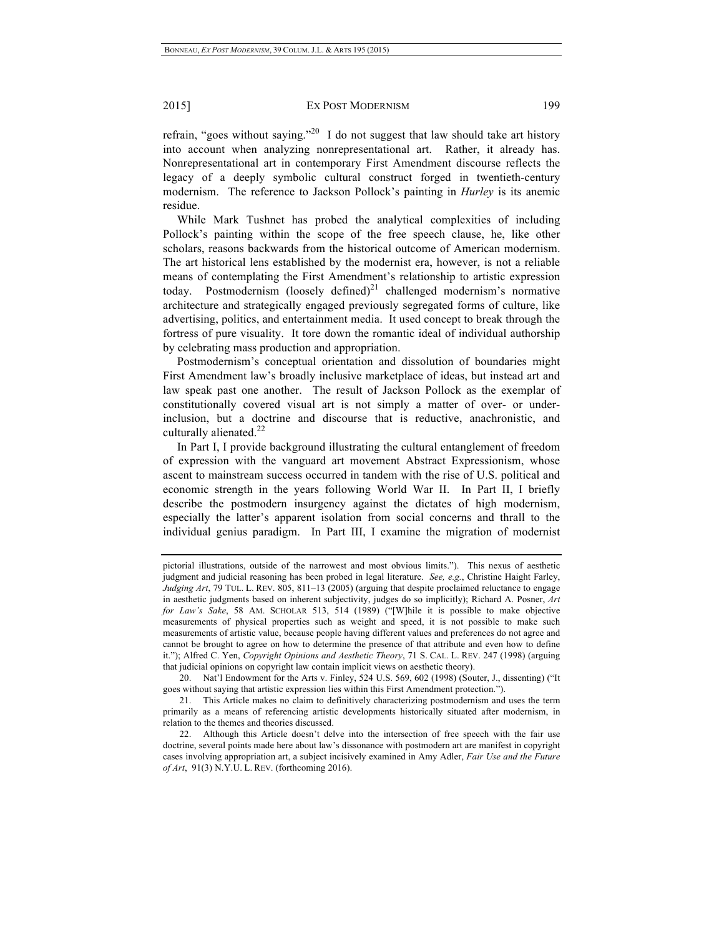refrain, "goes without saying."<sup>20</sup> I do not suggest that law should take art history into account when analyzing nonrepresentational art. Rather, it already has. Nonrepresentational art in contemporary First Amendment discourse reflects the legacy of a deeply symbolic cultural construct forged in twentieth-century modernism. The reference to Jackson Pollock's painting in *Hurley* is its anemic residue.

While Mark Tushnet has probed the analytical complexities of including Pollock's painting within the scope of the free speech clause, he, like other scholars, reasons backwards from the historical outcome of American modernism. The art historical lens established by the modernist era, however, is not a reliable means of contemplating the First Amendment's relationship to artistic expression today. Postmodernism (loosely defined) $^{21}$  challenged modernism's normative architecture and strategically engaged previously segregated forms of culture, like advertising, politics, and entertainment media. It used concept to break through the fortress of pure visuality. It tore down the romantic ideal of individual authorship by celebrating mass production and appropriation.

Postmodernism's conceptual orientation and dissolution of boundaries might First Amendment law's broadly inclusive marketplace of ideas, but instead art and law speak past one another. The result of Jackson Pollock as the exemplar of constitutionally covered visual art is not simply a matter of over- or underinclusion, but a doctrine and discourse that is reductive, anachronistic, and culturally alienated. $22$ 

In Part I, I provide background illustrating the cultural entanglement of freedom of expression with the vanguard art movement Abstract Expressionism, whose ascent to mainstream success occurred in tandem with the rise of U.S. political and economic strength in the years following World War II. In Part II, I briefly describe the postmodern insurgency against the dictates of high modernism, especially the latter's apparent isolation from social concerns and thrall to the individual genius paradigm. In Part III, I examine the migration of modernist

pictorial illustrations, outside of the narrowest and most obvious limits."). This nexus of aesthetic judgment and judicial reasoning has been probed in legal literature. *See, e.g.*, Christine Haight Farley, *Judging Art*, 79 TUL. L. REV. 805, 811–13 (2005) (arguing that despite proclaimed reluctance to engage in aesthetic judgments based on inherent subjectivity, judges do so implicitly); Richard A. Posner, *Art for Law's Sake*, 58 AM. SCHOLAR 513, 514 (1989) ("[W]hile it is possible to make objective measurements of physical properties such as weight and speed, it is not possible to make such measurements of artistic value, because people having different values and preferences do not agree and cannot be brought to agree on how to determine the presence of that attribute and even how to define it."); Alfred C. Yen, *Copyright Opinions and Aesthetic Theory*, 71 S. CAL. L. REV. 247 (1998) (arguing that judicial opinions on copyright law contain implicit views on aesthetic theory).

<sup>20.</sup> Nat'l Endowment for the Arts v. Finley, 524 U.S. 569, 602 (1998) (Souter, J., dissenting) ("It goes without saying that artistic expression lies within this First Amendment protection.").

<sup>21.</sup> This Article makes no claim to definitively characterizing postmodernism and uses the term primarily as a means of referencing artistic developments historically situated after modernism, in relation to the themes and theories discussed.

<sup>22.</sup> Although this Article doesn't delve into the intersection of free speech with the fair use doctrine, several points made here about law's dissonance with postmodern art are manifest in copyright cases involving appropriation art, a subject incisively examined in Amy Adler, *Fair Use and the Future of Art*, 91(3) N.Y.U. L. REV. (forthcoming 2016).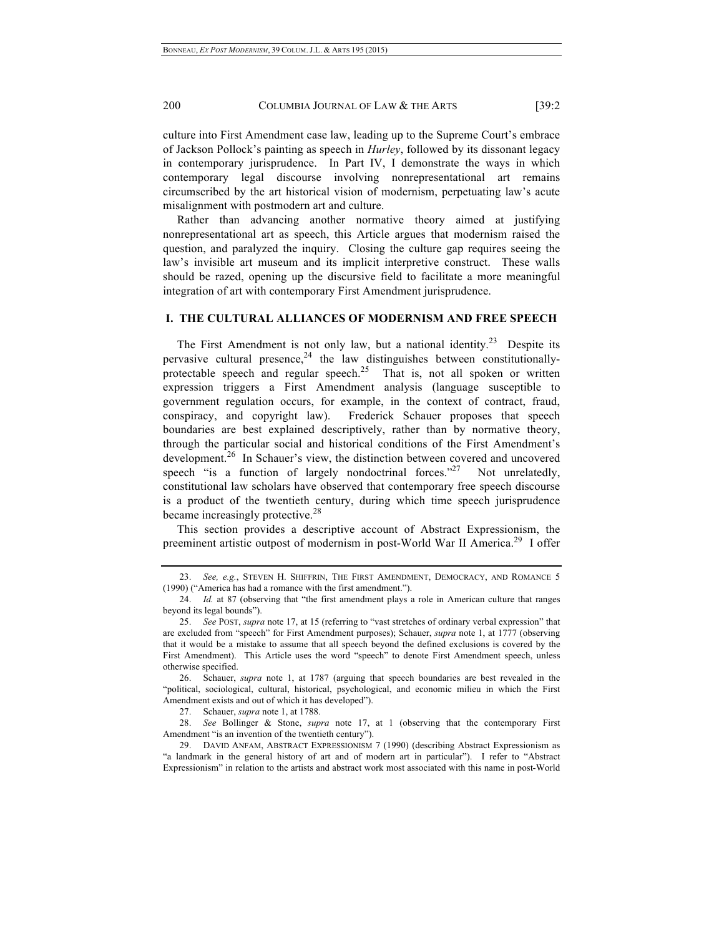culture into First Amendment case law, leading up to the Supreme Court's embrace of Jackson Pollock's painting as speech in *Hurley*, followed by its dissonant legacy in contemporary jurisprudence. In Part IV, I demonstrate the ways in which contemporary legal discourse involving nonrepresentational art remains circumscribed by the art historical vision of modernism, perpetuating law's acute misalignment with postmodern art and culture.

Rather than advancing another normative theory aimed at justifying nonrepresentational art as speech, this Article argues that modernism raised the question, and paralyzed the inquiry. Closing the culture gap requires seeing the law's invisible art museum and its implicit interpretive construct. These walls should be razed, opening up the discursive field to facilitate a more meaningful integration of art with contemporary First Amendment jurisprudence.

# **I. THE CULTURAL ALLIANCES OF MODERNISM AND FREE SPEECH**

The First Amendment is not only law, but a national identity.<sup>23</sup> Despite its pervasive cultural presence,  $24$  the law distinguishes between constitutionallyprotectable speech and regular speech.<sup>25</sup> That is, not all spoken or written expression triggers a First Amendment analysis (language susceptible to government regulation occurs, for example, in the context of contract, fraud, conspiracy, and copyright law). Frederick Schauer proposes that speech boundaries are best explained descriptively, rather than by normative theory, through the particular social and historical conditions of the First Amendment's development.<sup>26</sup> In Schauer's view, the distinction between covered and uncovered speech "is a function of largely nondoctrinal forces." Not unrelatedly, constitutional law scholars have observed that contemporary free speech discourse is a product of the twentieth century, during which time speech jurisprudence became increasingly protective.<sup>28</sup>

This section provides a descriptive account of Abstract Expressionism, the preeminent artistic outpost of modernism in post-World War II America.29 I offer

<sup>23.</sup> *See, e.g.*, STEVEN H. SHIFFRIN, THE FIRST AMENDMENT, DEMOCRACY, AND ROMANCE 5 (1990) ("America has had a romance with the first amendment.").

<sup>24.</sup> *Id.* at 87 (observing that "the first amendment plays a role in American culture that ranges beyond its legal bounds").

<sup>25.</sup> *See* POST, *supra* note 17, at 15 (referring to "vast stretches of ordinary verbal expression" that are excluded from "speech" for First Amendment purposes); Schauer, *supra* note 1, at 1777 (observing that it would be a mistake to assume that all speech beyond the defined exclusions is covered by the First Amendment). This Article uses the word "speech" to denote First Amendment speech, unless otherwise specified.

<sup>26.</sup> Schauer, *supra* note 1, at 1787 (arguing that speech boundaries are best revealed in the "political, sociological, cultural, historical, psychological, and economic milieu in which the First Amendment exists and out of which it has developed").

<sup>27.</sup> Schauer, *supra* note 1, at 1788.

<sup>28.</sup> *See* Bollinger & Stone, *supra* note 17, at 1 (observing that the contemporary First Amendment "is an invention of the twentieth century").

<sup>29.</sup> DAVID ANFAM, ABSTRACT EXPRESSIONISM 7 (1990) (describing Abstract Expressionism as "a landmark in the general history of art and of modern art in particular"). I refer to "Abstract Expressionism" in relation to the artists and abstract work most associated with this name in post-World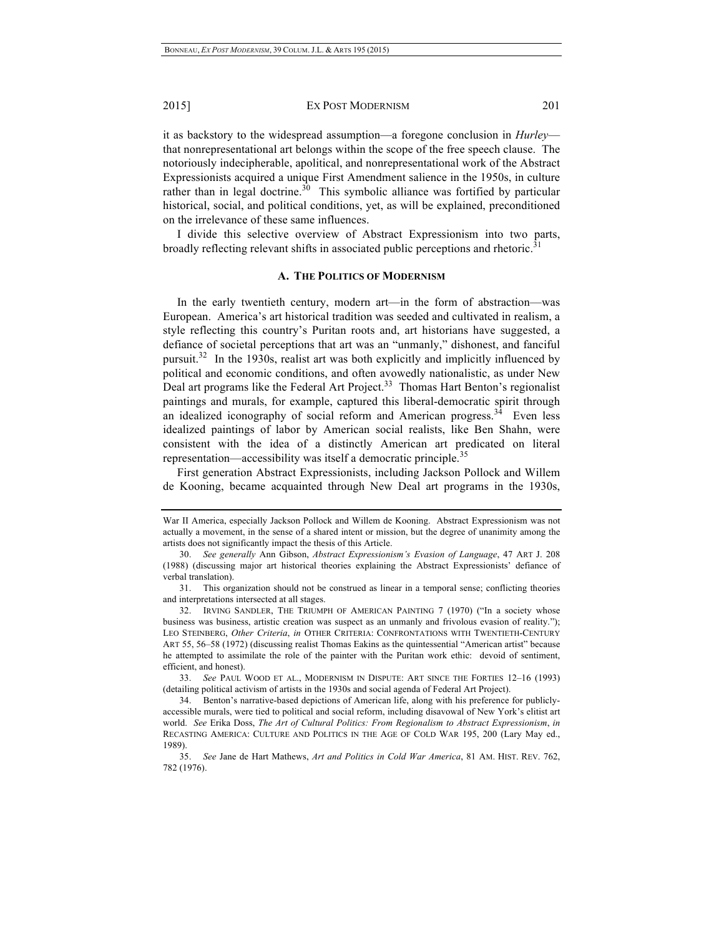it as backstory to the widespread assumption—a foregone conclusion in *Hurley* that nonrepresentational art belongs within the scope of the free speech clause. The notoriously indecipherable, apolitical, and nonrepresentational work of the Abstract Expressionists acquired a unique First Amendment salience in the 1950s, in culture rather than in legal doctrine.<sup>30</sup> This symbolic alliance was fortified by particular historical, social, and political conditions, yet, as will be explained, preconditioned on the irrelevance of these same influences.

I divide this selective overview of Abstract Expressionism into two parts, broadly reflecting relevant shifts in associated public perceptions and rhetoric.<sup>31</sup>

#### **A. THE POLITICS OF MODERNISM**

In the early twentieth century, modern art—in the form of abstraction—was European. America's art historical tradition was seeded and cultivated in realism, a style reflecting this country's Puritan roots and, art historians have suggested, a defiance of societal perceptions that art was an "unmanly," dishonest, and fanciful pursuit.<sup>32</sup> In the 1930s, realist art was both explicitly and implicitly influenced by political and economic conditions, and often avowedly nationalistic, as under New Deal art programs like the Federal Art Project.<sup>33</sup> Thomas Hart Benton's regionalist paintings and murals, for example, captured this liberal-democratic spirit through an idealized iconography of social reform and American progress.<sup>34</sup> Even less idealized paintings of labor by American social realists, like Ben Shahn, were consistent with the idea of a distinctly American art predicated on literal representation—accessibility was itself a democratic principle.<sup>35</sup>

First generation Abstract Expressionists, including Jackson Pollock and Willem de Kooning, became acquainted through New Deal art programs in the 1930s,

33. *See* PAUL WOOD ET AL., MODERNISM IN DISPUTE: ART SINCE THE FORTIES 12–16 (1993) (detailing political activism of artists in the 1930s and social agenda of Federal Art Project).

34. Benton's narrative-based depictions of American life, along with his preference for publiclyaccessible murals, were tied to political and social reform, including disavowal of New York's elitist art world. *See* Erika Doss, *The Art of Cultural Politics: From Regionalism to Abstract Expressionism*, *in* RECASTING AMERICA: CULTURE AND POLITICS IN THE AGE OF COLD WAR 195, 200 (Lary May ed., 1989).

War II America, especially Jackson Pollock and Willem de Kooning. Abstract Expressionism was not actually a movement, in the sense of a shared intent or mission, but the degree of unanimity among the artists does not significantly impact the thesis of this Article.

<sup>30.</sup> *See generally* Ann Gibson, *Abstract Expressionism's Evasion of Language*, 47 ART J. 208 (1988) (discussing major art historical theories explaining the Abstract Expressionists' defiance of verbal translation).

<sup>31.</sup> This organization should not be construed as linear in a temporal sense; conflicting theories and interpretations intersected at all stages.

<sup>32.</sup> IRVING SANDLER, THE TRIUMPH OF AMERICAN PAINTING 7 (1970) ("In a society whose business was business, artistic creation was suspect as an unmanly and frivolous evasion of reality."); LEO STEINBERG, *Other Criteria*, *in* OTHER CRITERIA: CONFRONTATIONS WITH TWENTIETH-CENTURY ART 55, 56–58 (1972) (discussing realist Thomas Eakins as the quintessential "American artist" because he attempted to assimilate the role of the painter with the Puritan work ethic: devoid of sentiment, efficient, and honest).

<sup>35.</sup> *See* Jane de Hart Mathews, *Art and Politics in Cold War America*, 81 AM. HIST. REV. 762, 782 (1976).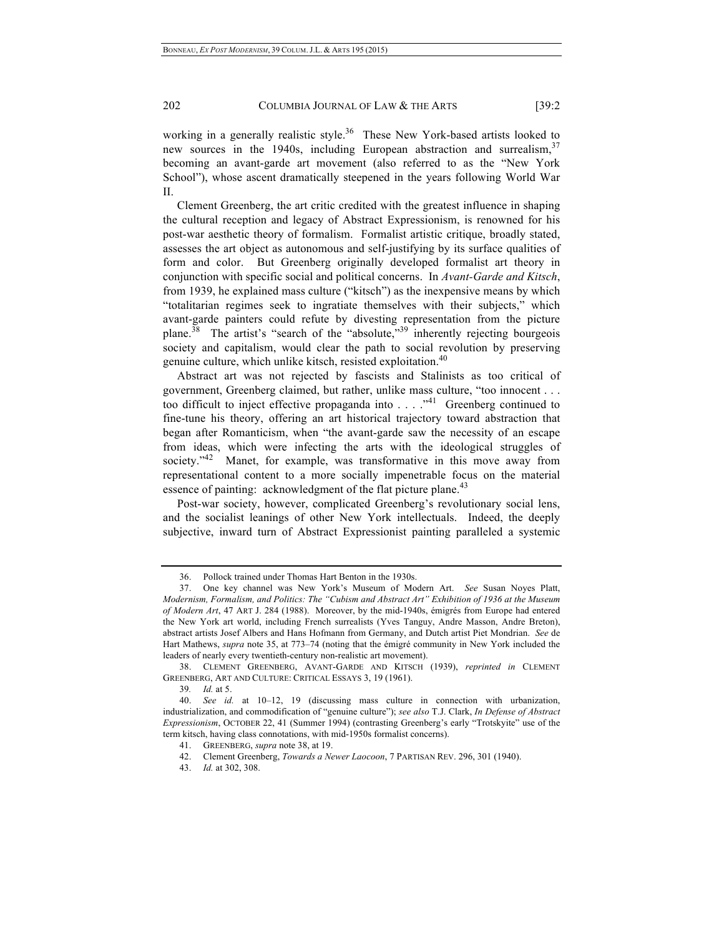working in a generally realistic style.<sup>36</sup> These New York-based artists looked to new sources in the 1940s, including European abstraction and surrealism,  $37$ becoming an avant-garde art movement (also referred to as the "New York School"), whose ascent dramatically steepened in the years following World War II.

Clement Greenberg, the art critic credited with the greatest influence in shaping the cultural reception and legacy of Abstract Expressionism, is renowned for his post-war aesthetic theory of formalism. Formalist artistic critique, broadly stated, assesses the art object as autonomous and self-justifying by its surface qualities of form and color. But Greenberg originally developed formalist art theory in conjunction with specific social and political concerns. In *Avant-Garde and Kitsch*, from 1939, he explained mass culture ("kitsch") as the inexpensive means by which "totalitarian regimes seek to ingratiate themselves with their subjects," which avant-garde painters could refute by divesting representation from the picture plane.<sup>38</sup> The artist's "search of the "absolute,"<sup>39</sup> inherently rejecting bourgeois society and capitalism, would clear the path to social revolution by preserving genuine culture, which unlike kitsch, resisted exploitation.<sup>40</sup>

Abstract art was not rejected by fascists and Stalinists as too critical of government, Greenberg claimed, but rather, unlike mass culture, "too innocent . . . too difficult to inject effective propaganda into  $\dots$  .  $\cdot$ <sup>41</sup> Greenberg continued to fine-tune his theory, offering an art historical trajectory toward abstraction that began after Romanticism, when "the avant-garde saw the necessity of an escape from ideas, which were infecting the arts with the ideological struggles of society."<sup>42</sup> Manet, for example, was transformative in this move away from representational content to a more socially impenetrable focus on the material essence of painting: acknowledgment of the flat picture plane.<sup>43</sup>

Post-war society, however, complicated Greenberg's revolutionary social lens, and the socialist leanings of other New York intellectuals. Indeed, the deeply subjective, inward turn of Abstract Expressionist painting paralleled a systemic

<sup>36.</sup> Pollock trained under Thomas Hart Benton in the 1930s.

<sup>37.</sup> One key channel was New York's Museum of Modern Art. *See* Susan Noyes Platt, *Modernism, Formalism, and Politics: The "Cubism and Abstract Art" Exhibition of 1936 at the Museum of Modern Art*, 47 ART J. 284 (1988). Moreover, by the mid-1940s, émigrés from Europe had entered the New York art world, including French surrealists (Yves Tanguy, Andre Masson, Andre Breton), abstract artists Josef Albers and Hans Hofmann from Germany, and Dutch artist Piet Mondrian. *See* de Hart Mathews, *supra* note 35, at 773–74 (noting that the émigré community in New York included the leaders of nearly every twentieth-century non-realistic art movement).

<sup>38.</sup> CLEMENT GREENBERG, AVANT-GARDE AND KITSCH (1939), *reprinted in* CLEMENT GREENBERG, ART AND CULTURE: CRITICAL ESSAYS 3, 19 (1961).

<sup>39</sup>*. Id.* at 5.

<sup>40.</sup> *See id.* at 10–12, 19 (discussing mass culture in connection with urbanization, industrialization, and commodification of "genuine culture"); *see also* T.J. Clark, *In Defense of Abstract Expressionism*, OCTOBER 22, 41 (Summer 1994) (contrasting Greenberg's early "Trotskyite" use of the term kitsch, having class connotations, with mid-1950s formalist concerns).

<sup>41.</sup> GREENBERG, *supra* note 38, at 19.

<sup>42.</sup> Clement Greenberg, *Towards a Newer Laocoon*, 7 PARTISAN REV. 296, 301 (1940).

<sup>43.</sup> *Id.* at 302, 308.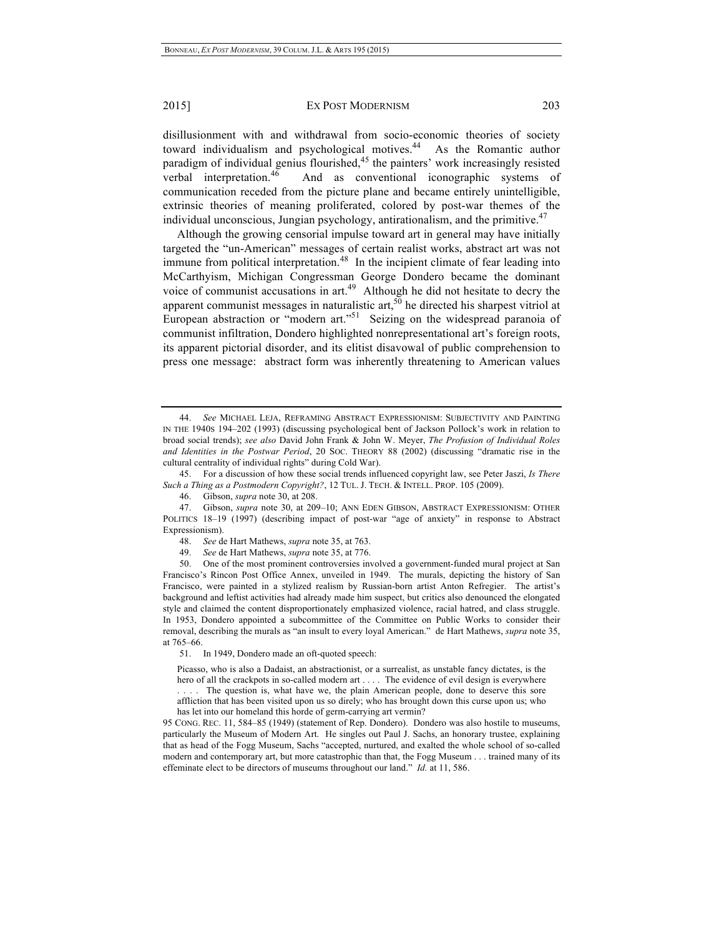disillusionment with and withdrawal from socio-economic theories of society toward individualism and psychological motives.<sup>44</sup> As the Romantic author paradigm of individual genius flourished, $45$  the painters' work increasingly resisted verbal interpretation.46 And as conventional iconographic systems of communication receded from the picture plane and became entirely unintelligible, extrinsic theories of meaning proliferated, colored by post-war themes of the individual unconscious, Jungian psychology, antirationalism, and the primitive.<sup>47</sup>

Although the growing censorial impulse toward art in general may have initially targeted the "un-American" messages of certain realist works, abstract art was not immune from political interpretation.<sup>48</sup> In the incipient climate of fear leading into McCarthyism, Michigan Congressman George Dondero became the dominant voice of communist accusations in  $art<sup>49</sup>$ . Although he did not hesitate to decry the apparent communist messages in naturalistic art,  $50$  he directed his sharpest vitriol at European abstraction or "modern art."<sup>51</sup> Seizing on the widespread paranoia of communist infiltration, Dondero highlighted nonrepresentational art's foreign roots, its apparent pictorial disorder, and its elitist disavowal of public comprehension to press one message: abstract form was inherently threatening to American values

45. For a discussion of how these social trends influenced copyright law, see Peter Jaszi, *Is There Such a Thing as a Postmodern Copyright?*, 12 TUL. J. TECH. & INTELL. PROP. 105 (2009).

46. Gibson, *supra* note 30, at 208.

48. *See* de Hart Mathews, *supra* note 35, at 763.

49. *See* de Hart Mathews, *supra* note 35, at 776.

50. One of the most prominent controversies involved a government-funded mural project at San Francisco's Rincon Post Office Annex, unveiled in 1949. The murals, depicting the history of San Francisco, were painted in a stylized realism by Russian-born artist Anton Refregier. The artist's background and leftist activities had already made him suspect, but critics also denounced the elongated style and claimed the content disproportionately emphasized violence, racial hatred, and class struggle. In 1953, Dondero appointed a subcommittee of the Committee on Public Works to consider their removal, describing the murals as "an insult to every loyal American." de Hart Mathews, *supra* note 35, at 765–66.

51. In 1949, Dondero made an oft-quoted speech:

Picasso, who is also a Dadaist, an abstractionist, or a surrealist, as unstable fancy dictates, is the hero of all the crackpots in so-called modern art . . . . The evidence of evil design is everywhere

The question is, what have we, the plain American people, done to deserve this sore affliction that has been visited upon us so direly; who has brought down this curse upon us; who has let into our homeland this horde of germ-carrying art vermin?

95 CONG. REC. 11, 584–85 (1949) (statement of Rep. Dondero). Dondero was also hostile to museums, particularly the Museum of Modern Art. He singles out Paul J. Sachs, an honorary trustee, explaining that as head of the Fogg Museum, Sachs "accepted, nurtured, and exalted the whole school of so-called modern and contemporary art, but more catastrophic than that, the Fogg Museum . . . trained many of its effeminate elect to be directors of museums throughout our land." *Id.* at 11, 586.

<sup>44.</sup> *See* MICHAEL LEJA, REFRAMING ABSTRACT EXPRESSIONISM: SUBJECTIVITY AND PAINTING IN THE 1940S 194–202 (1993) (discussing psychological bent of Jackson Pollock's work in relation to broad social trends); *see also* David John Frank & John W. Meyer, *The Profusion of Individual Roles and Identities in the Postwar Period*, 20 SOC. THEORY 88 (2002) (discussing "dramatic rise in the cultural centrality of individual rights" during Cold War).

<sup>47.</sup> Gibson, *supra* note 30, at 209–10; ANN EDEN GIBSON, ABSTRACT EXPRESSIONISM: OTHER POLITICS 18–19 (1997) (describing impact of post-war "age of anxiety" in response to Abstract Expressionism).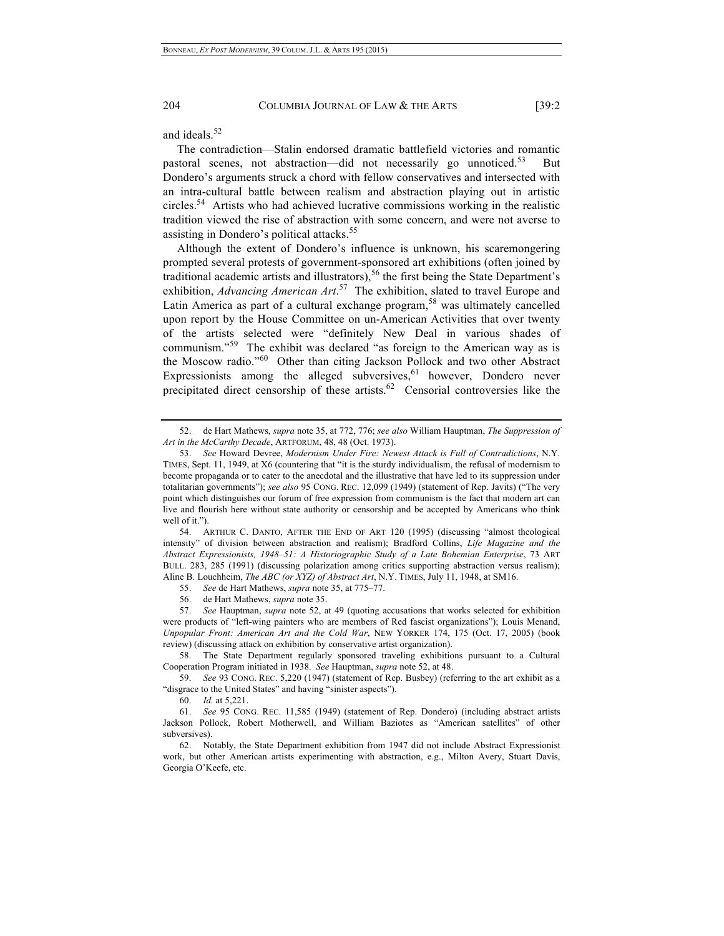and ideals.<sup>52</sup>

The contradiction—Stalin endorsed dramatic battlefield victories and romantic pastoral scenes, not abstraction—did not necessarily go unnoticed.<sup>53</sup> But Dondero's arguments struck a chord with fellow conservatives and intersected with an intra-cultural battle between realism and abstraction playing out in artistic circles.54 Artists who had achieved lucrative commissions working in the realistic tradition viewed the rise of abstraction with some concern, and were not averse to assisting in Dondero's political attacks.<sup>55</sup>

Although the extent of Dondero's influence is unknown, his scaremongering prompted several protests of government-sponsored art exhibitions (often joined by traditional academic artists and illustrators),<sup>56</sup> the first being the State Department's exhibition, *Advancing American Art*. 57 The exhibition, slated to travel Europe and Latin America as part of a cultural exchange program,<sup>58</sup> was ultimately cancelled upon report by the House Committee on un-American Activities that over twenty of the artists selected were "definitely New Deal in various shades of communism."<sup>59</sup> The exhibit was declared "as foreign to the American way as is the Moscow radio."60 Other than citing Jackson Pollock and two other Abstract Expressionists among the alleged subversives,  $61$  however, Dondero never precipitated direct censorship of these artists.<sup>62</sup> Censorial controversies like the

54. ARTHUR C. DANTO, AFTER THE END OF ART 120 (1995) (discussing "almost theological intensity" of division between abstraction and realism); Bradford Collins, *Life Magazine and the Abstract Expressionists, 1948–51: A Historiographic Study of a Late Bohemian Enterprise*, 73 ART BULL. 283, 285 (1991) (discussing polarization among critics supporting abstraction versus realism); Aline B. Louchheim, *The ABC (or XYZ) of Abstract Art*, N.Y. TIMES, July 11, 1948, at SM16.

55. *See* de Hart Mathews, *supra* note 35, at 775–77.

56. de Hart Mathews, *supra* note 35.

57. *See* Hauptman, *supra* note 52, at 49 (quoting accusations that works selected for exhibition were products of "left-wing painters who are members of Red fascist organizations"); Louis Menand, *Unpopular Front: American Art and the Cold War*, NEW YORKER 174, 175 (Oct. 17, 2005) (book review) (discussing attack on exhibition by conservative artist organization).

58. The State Department regularly sponsored traveling exhibitions pursuant to a Cultural Cooperation Program initiated in 1938. *See* Hauptman, *supra* note 52, at 48.

59. *See* 93 CONG. REC. 5,220 (1947) (statement of Rep. Busbey) (referring to the art exhibit as a "disgrace to the United States" and having "sinister aspects").

60. *Id.* at 5,221.

61. *See* 95 CONG. REC. 11,585 (1949) (statement of Rep. Dondero) (including abstract artists Jackson Pollock, Robert Motherwell, and William Baziotes as "American satellites" of other subversives).

62. Notably, the State Department exhibition from 1947 did not include Abstract Expressionist work, but other American artists experimenting with abstraction, e.g., Milton Avery, Stuart Davis, Georgia O'Keefe, etc.

<sup>52.</sup> de Hart Mathews, *supra* note 35, at 772, 776; *see also* William Hauptman, *The Suppression of Art in the McCarthy Decade*, ARTFORUM, 48, 48 (Oct. 1973).

<sup>53.</sup> *See* Howard Devree, *Modernism Under Fire: Newest Attack is Full of Contradictions*, N.Y. TIMES, Sept. 11, 1949, at X6 (countering that "it is the sturdy individualism, the refusal of modernism to become propaganda or to cater to the anecdotal and the illustrative that have led to its suppression under totalitarian governments"); *see also* 95 CONG. REC. 12,099 (1949) (statement of Rep. Javits) ("The very point which distinguishes our forum of free expression from communism is the fact that modern art can live and flourish here without state authority or censorship and be accepted by Americans who think well of it.").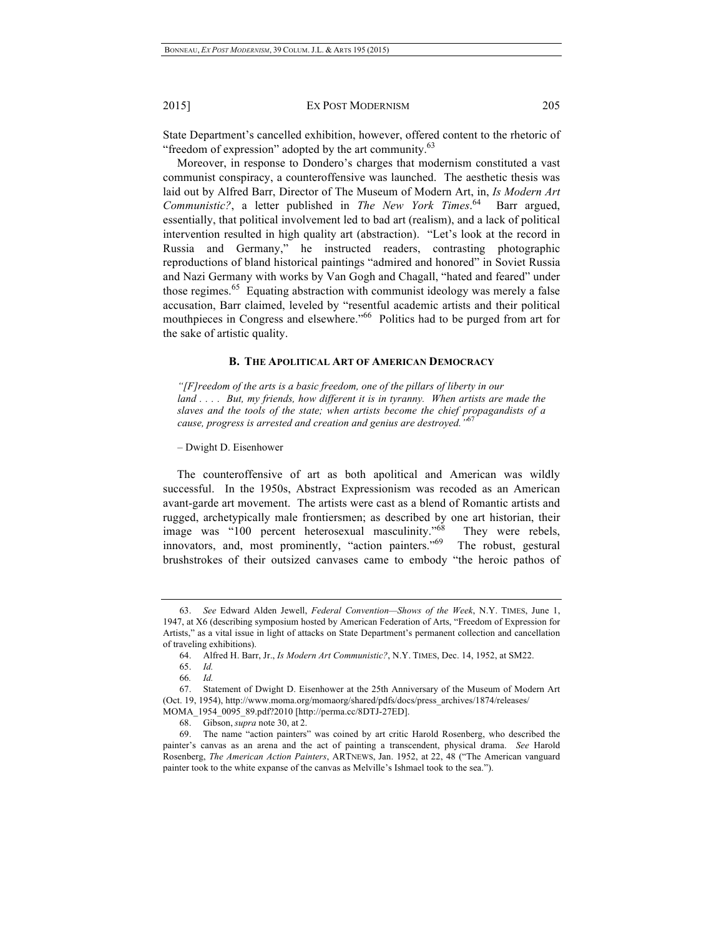State Department's cancelled exhibition, however, offered content to the rhetoric of "freedom of expression" adopted by the art community.<sup>63</sup>

Moreover, in response to Dondero's charges that modernism constituted a vast communist conspiracy, a counteroffensive was launched. The aesthetic thesis was laid out by Alfred Barr, Director of The Museum of Modern Art, in, *Is Modern Art Communistic?*, a letter published in *The New York Times*. 64 Barr argued, essentially, that political involvement led to bad art (realism), and a lack of political intervention resulted in high quality art (abstraction). "Let's look at the record in Russia and Germany," he instructed readers, contrasting photographic reproductions of bland historical paintings "admired and honored" in Soviet Russia and Nazi Germany with works by Van Gogh and Chagall, "hated and feared" under those regimes.<sup>65</sup> Equating abstraction with communist ideology was merely a false accusation, Barr claimed, leveled by "resentful academic artists and their political mouthpieces in Congress and elsewhere."<sup>66</sup> Politics had to be purged from art for the sake of artistic quality.

#### **B. THE APOLITICAL ART OF AMERICAN DEMOCRACY**

*"[F]reedom of the arts is a basic freedom, one of the pillars of liberty in our land . . . . But, my friends, how different it is in tyranny. When artists are made the slaves and the tools of the state; when artists become the chief propagandists of a cause, progress is arrested and creation and genius are destroyed."*<sup>67</sup>

– Dwight D. Eisenhower

The counteroffensive of art as both apolitical and American was wildly successful. In the 1950s, Abstract Expressionism was recoded as an American avant-garde art movement. The artists were cast as a blend of Romantic artists and rugged, archetypically male frontiersmen; as described by one art historian, their image was "100 percent heterosexual masculinity."<sup>68</sup> They were rebels, innovators, and, most prominently, "action painters."<sup>69</sup> The robust, gestural brushstrokes of their outsized canvases came to embody "the heroic pathos of

<sup>63.</sup> *See* Edward Alden Jewell, *Federal Convention—Shows of the Week*, N.Y. TIMES, June 1, 1947, at X6 (describing symposium hosted by American Federation of Arts, "Freedom of Expression for Artists," as a vital issue in light of attacks on State Department's permanent collection and cancellation of traveling exhibitions).

<sup>64.</sup> Alfred H. Barr, Jr., *Is Modern Art Communistic?*, N.Y. TIMES, Dec. 14, 1952, at SM22.

<sup>65.</sup> *Id.*

<sup>66</sup>*. Id.*

<sup>67.</sup> Statement of Dwight D. Eisenhower at the 25th Anniversary of the Museum of Modern Art (Oct. 19, 1954), http://www.moma.org/momaorg/shared/pdfs/docs/press\_archives/1874/releases/ MOMA\_1954\_0095\_89.pdf?2010 [http://perma.cc/8DTJ-27ED].

<sup>68.</sup> Gibson, *supra* note 30, at 2.

<sup>69.</sup> The name "action painters" was coined by art critic Harold Rosenberg, who described the painter's canvas as an arena and the act of painting a transcendent, physical drama. *See* Harold Rosenberg, *The American Action Painters*, ARTNEWS, Jan. 1952, at 22, 48 ("The American vanguard painter took to the white expanse of the canvas as Melville's Ishmael took to the sea.").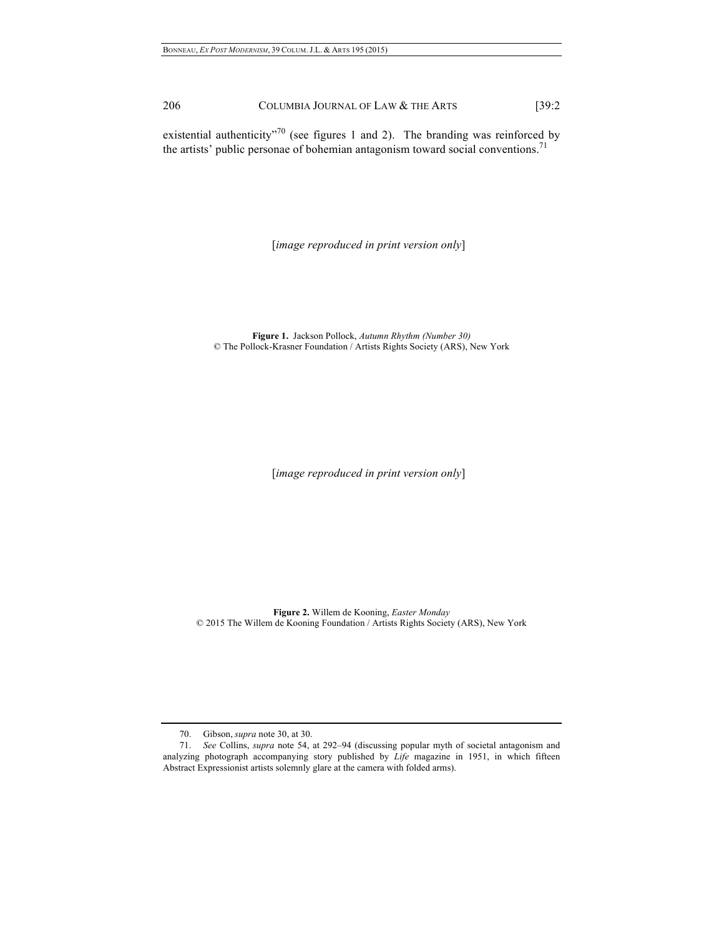existential authenticity"<sup>70</sup> (see figures 1 and 2). The branding was reinforced by the artists' public personae of bohemian antagonism toward social conventions.<sup>71</sup>

[*image reproduced in print version only*]

**Figure 1.** Jackson Pollock, *Autumn Rhythm (Number 30)* © The Pollock-Krasner Foundation / Artists Rights Society (ARS), New York

[*image reproduced in print version only*]

**Figure 2.** Willem de Kooning, *Easter Monday* © 2015 The Willem de Kooning Foundation / Artists Rights Society (ARS), New York

<sup>70.</sup> Gibson, *supra* note 30, at 30.

<sup>71.</sup> *See* Collins, *supra* note 54, at 292–94 (discussing popular myth of societal antagonism and analyzing photograph accompanying story published by *Life* magazine in 1951, in which fifteen Abstract Expressionist artists solemnly glare at the camera with folded arms).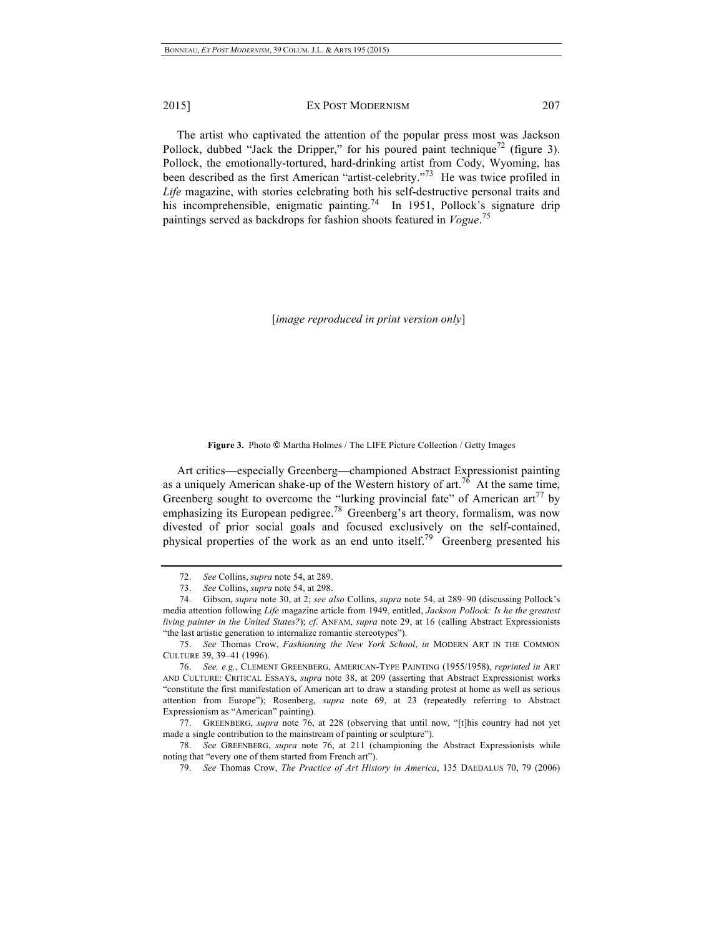The artist who captivated the attention of the popular press most was Jackson Pollock, dubbed "Jack the Dripper," for his poured paint technique<sup>72</sup> (figure 3). Pollock, the emotionally-tortured, hard-drinking artist from Cody, Wyoming, has been described as the first American "artist-celebrity."73 He was twice profiled in *Life* magazine, with stories celebrating both his self-destructive personal traits and his incomprehensible, enigmatic painting.<sup>74</sup> In 1951, Pollock's signature drip paintings served as backdrops for fashion shoots featured in *Vogue*. 75

[*image reproduced in print version only*]

**Figure 3.** Photo © Martha Holmes / The LIFE Picture Collection / Getty Images

Art critics—especially Greenberg—championed Abstract Expressionist painting as a uniquely American shake-up of the Western history of art.<sup>76</sup> At the same time, Greenberg sought to overcome the "lurking provincial fate" of American  $art^{77}$  by emphasizing its European pedigree.<sup>78</sup> Greenberg's art theory, formalism, was now divested of prior social goals and focused exclusively on the self-contained, physical properties of the work as an end unto itself.<sup>79</sup> Greenberg presented his

<sup>72.</sup> *See* Collins, *supra* note 54, at 289.

<sup>73.</sup> *See* Collins, *supra* note 54, at 298.

<sup>74.</sup> Gibson, *supra* note 30, at 2; *see also* Collins, *supra* note 54, at 289–90 (discussing Pollock's media attention following *Life* magazine article from 1949, entitled, *Jackson Pollock: Is he the greatest living painter in the United States?*); *cf*. ANFAM, *supra* note 29, at 16 (calling Abstract Expressionists "the last artistic generation to internalize romantic stereotypes").

<sup>75.</sup> *See* Thomas Crow, *Fashioning the New York School*, *in* MODERN ART IN THE COMMON CULTURE 39, 39–41 (1996).

<sup>76.</sup> *See, e.g.*, CLEMENT GREENBERG, AMERICAN-TYPE PAINTING (1955/1958), *reprinted in* ART AND CULTURE: CRITICAL ESSAYS, *supra* note 38, at 209 (asserting that Abstract Expressionist works "constitute the first manifestation of American art to draw a standing protest at home as well as serious attention from Europe"); Rosenberg, *supra* note 69, at 23 (repeatedly referring to Abstract Expressionism as "American" painting).

<sup>77.</sup> GREENBERG, *supra* note 76, at 228 (observing that until now, "[t]his country had not yet made a single contribution to the mainstream of painting or sculpture").

<sup>78.</sup> *See* GREENBERG, *supra* note 76, at 211 (championing the Abstract Expressionists while noting that "every one of them started from French art").

<sup>79.</sup> *See* Thomas Crow, *The Practice of Art History in America*, 135 DAEDALUS 70, 79 (2006)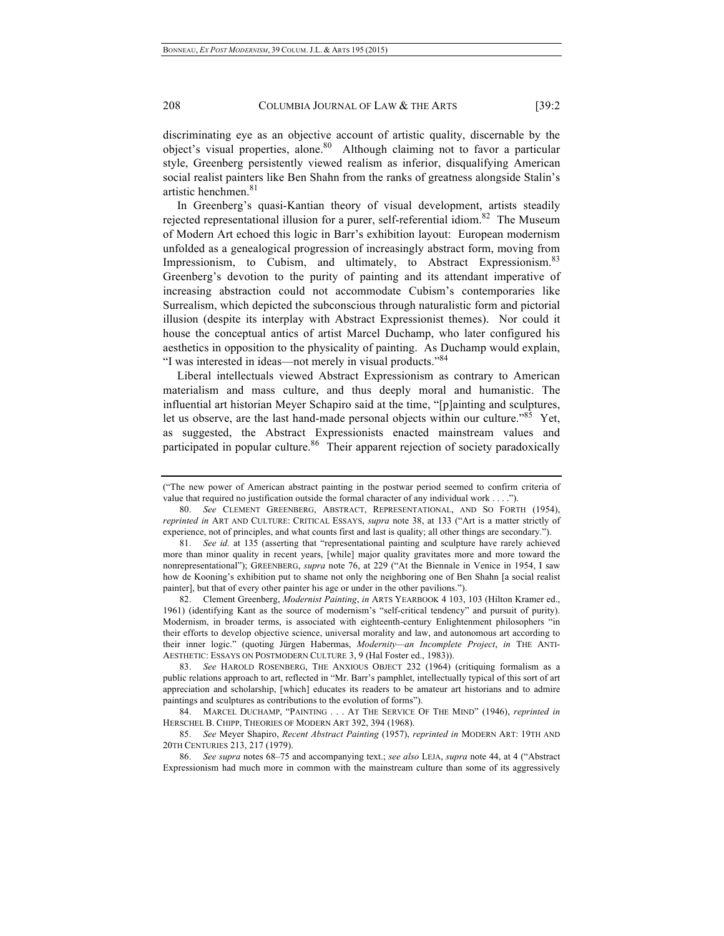discriminating eye as an objective account of artistic quality, discernable by the object's visual properties, alone.<sup>80</sup> Although claiming not to favor a particular style, Greenberg persistently viewed realism as inferior, disqualifying American social realist painters like Ben Shahn from the ranks of greatness alongside Stalin's artistic henchmen.<sup>81</sup>

In Greenberg's quasi-Kantian theory of visual development, artists steadily rejected representational illusion for a purer, self-referential idiom.<sup>82</sup> The Museum of Modern Art echoed this logic in Barr's exhibition layout: European modernism unfolded as a genealogical progression of increasingly abstract form, moving from Impressionism, to Cubism, and ultimately, to Abstract Expressionism.<sup>83</sup> Greenberg's devotion to the purity of painting and its attendant imperative of increasing abstraction could not accommodate Cubism's contemporaries like Surrealism, which depicted the subconscious through naturalistic form and pictorial illusion (despite its interplay with Abstract Expressionist themes). Nor could it house the conceptual antics of artist Marcel Duchamp, who later configured his aesthetics in opposition to the physicality of painting. As Duchamp would explain, "I was interested in ideas—not merely in visual products."<sup>84</sup>

Liberal intellectuals viewed Abstract Expressionism as contrary to American materialism and mass culture, and thus deeply moral and humanistic. The influential art historian Meyer Schapiro said at the time, "[p]ainting and sculptures, let us observe, are the last hand-made personal objects within our culture.<sup>85</sup> Yet, as suggested, the Abstract Expressionists enacted mainstream values and participated in popular culture.<sup>86</sup> Their apparent rejection of society paradoxically

82. Clement Greenberg, *Modernist Painting*, *in* ARTS YEARBOOK 4 103, 103 (Hilton Kramer ed., 1961) (identifying Kant as the source of modernism's "self-critical tendency" and pursuit of purity). Modernism, in broader terms, is associated with eighteenth-century Enlightenment philosophers "in their efforts to develop objective science, universal morality and law, and autonomous art according to their inner logic." (quoting Jürgen Habermas, *Modernity—an Incomplete Project*, *in* THE ANTI-AESTHETIC: ESSAYS ON POSTMODERN CULTURE 3, 9 (Hal Foster ed., 1983)).

83. *See* HAROLD ROSENBERG, THE ANXIOUS OBJECT 232 (1964) (critiquing formalism as a public relations approach to art, reflected in "Mr. Barr's pamphlet, intellectually typical of this sort of art appreciation and scholarship, [which] educates its readers to be amateur art historians and to admire paintings and sculptures as contributions to the evolution of forms").

84. MARCEL DUCHAMP, "PAINTING . . . AT THE SERVICE OF THE MIND" (1946), *reprinted in* HERSCHEL B. CHIPP, THEORIES OF MODERN ART 392, 394 (1968).

86. *See supra* notes 68–75 and accompanying text.; *see also* LEJA, *supra* note 44, at 4 ("Abstract Expressionism had much more in common with the mainstream culture than some of its aggressively

<sup>(&</sup>quot;The new power of American abstract painting in the postwar period seemed to confirm criteria of value that required no justification outside the formal character of any individual work . . . .").

<sup>80.</sup> *See* CLEMENT GREENBERG, ABSTRACT, REPRESENTATIONAL, AND SO FORTH (1954), *reprinted in* ART AND CULTURE: CRITICAL ESSAYS, *supra* note 38, at 133 ("Art is a matter strictly of experience, not of principles, and what counts first and last is quality; all other things are secondary.").

<sup>81.</sup> *See id.* at 135 (asserting that "representational painting and sculpture have rarely achieved more than minor quality in recent years, [while] major quality gravitates more and more toward the nonrepresentational"); GREENBERG, *supra* note 76, at 229 ("At the Biennale in Venice in 1954, I saw how de Kooning's exhibition put to shame not only the neighboring one of Ben Shahn [a social realist painter], but that of every other painter his age or under in the other pavilions.").

<sup>85.</sup> *See* Meyer Shapiro, *Recent Abstract Painting* (1957), *reprinted in* MODERN ART: 19TH AND 20TH CENTURIES 213, 217 (1979).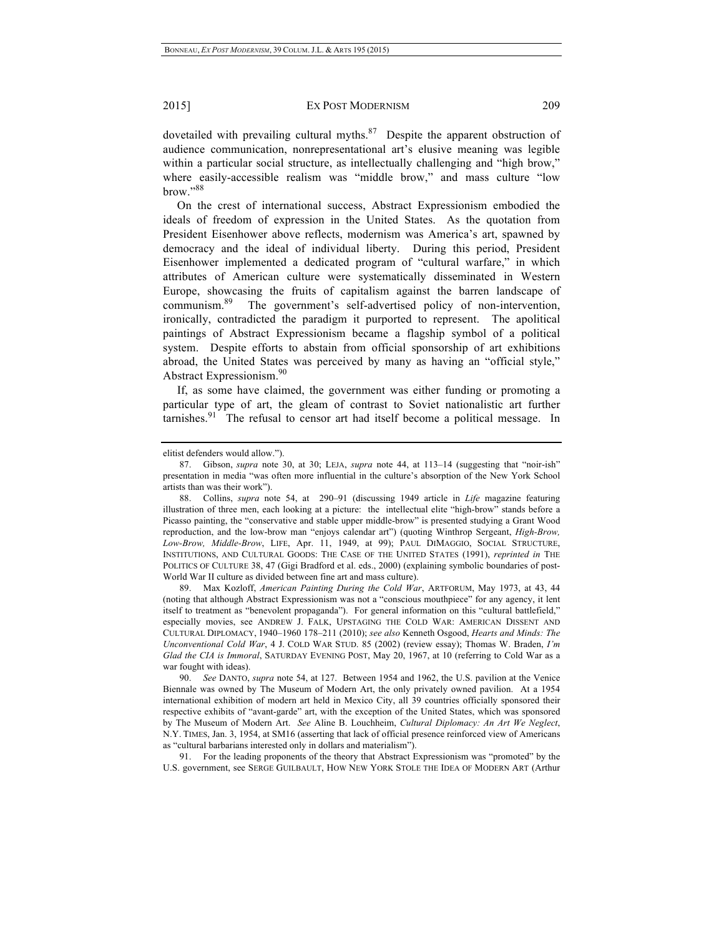dovetailed with prevailing cultural myths. $87$  Despite the apparent obstruction of audience communication, nonrepresentational art's elusive meaning was legible within a particular social structure, as intellectually challenging and "high brow," where easily-accessible realism was "middle brow," and mass culture "low brow."<sup>88</sup>

On the crest of international success, Abstract Expressionism embodied the ideals of freedom of expression in the United States. As the quotation from President Eisenhower above reflects, modernism was America's art, spawned by democracy and the ideal of individual liberty. During this period, President Eisenhower implemented a dedicated program of "cultural warfare," in which attributes of American culture were systematically disseminated in Western Europe, showcasing the fruits of capitalism against the barren landscape of communism.89 The government's self-advertised policy of non-intervention, ironically, contradicted the paradigm it purported to represent. The apolitical paintings of Abstract Expressionism became a flagship symbol of a political system. Despite efforts to abstain from official sponsorship of art exhibitions abroad, the United States was perceived by many as having an "official style," Abstract Expressionism.90

If, as some have claimed, the government was either funding or promoting a particular type of art, the gleam of contrast to Soviet nationalistic art further tarnishes. $91$  The refusal to censor art had itself become a political message. In

89. Max Kozloff, *American Painting During the Cold War*, ARTFORUM, May 1973, at 43, 44 (noting that although Abstract Expressionism was not a "conscious mouthpiece" for any agency, it lent itself to treatment as "benevolent propaganda"). For general information on this "cultural battlefield," especially movies, see ANDREW J. FALK, UPSTAGING THE COLD WAR: AMERICAN DISSENT AND CULTURAL DIPLOMACY, 1940–1960 178–211 (2010); *see also* Kenneth Osgood, *Hearts and Minds: The Unconventional Cold War*, 4 J. COLD WAR STUD. 85 (2002) (review essay); Thomas W. Braden, *I'm Glad the CIA is Immoral*, SATURDAY EVENING POST, May 20, 1967, at 10 (referring to Cold War as a war fought with ideas).

91. For the leading proponents of the theory that Abstract Expressionism was "promoted" by the U.S. government, see SERGE GUILBAULT, HOW NEW YORK STOLE THE IDEA OF MODERN ART (Arthur

elitist defenders would allow.").

<sup>87.</sup> Gibson, *supra* note 30, at 30; LEJA, *supra* note 44, at 113–14 (suggesting that "noir-ish" presentation in media "was often more influential in the culture's absorption of the New York School artists than was their work").

<sup>88.</sup> Collins, *supra* note 54, at 290–91 (discussing 1949 article in *Life* magazine featuring illustration of three men, each looking at a picture: the intellectual elite "high-brow" stands before a Picasso painting, the "conservative and stable upper middle-brow" is presented studying a Grant Wood reproduction, and the low-brow man "enjoys calendar art") (quoting Winthrop Sergeant, *High-Brow, Low-Brow, Middle-Brow*, LIFE, Apr. 11, 1949, at 99); PAUL DIMAGGIO, SOCIAL STRUCTURE, INSTITUTIONS, AND CULTURAL GOODS: THE CASE OF THE UNITED STATES (1991), *reprinted in* THE POLITICS OF CULTURE 38, 47 (Gigi Bradford et al. eds., 2000) (explaining symbolic boundaries of post-World War II culture as divided between fine art and mass culture).

<sup>90.</sup> *See* DANTO, *supra* note 54, at 127. Between 1954 and 1962, the U.S. pavilion at the Venice Biennale was owned by The Museum of Modern Art, the only privately owned pavilion. At a 1954 international exhibition of modern art held in Mexico City, all 39 countries officially sponsored their respective exhibits of "avant-garde" art, with the exception of the United States, which was sponsored by The Museum of Modern Art. *See* Aline B. Louchheim, *Cultural Diplomacy: An Art We Neglect*, N.Y. TIMES, Jan. 3, 1954, at SM16 (asserting that lack of official presence reinforced view of Americans as "cultural barbarians interested only in dollars and materialism").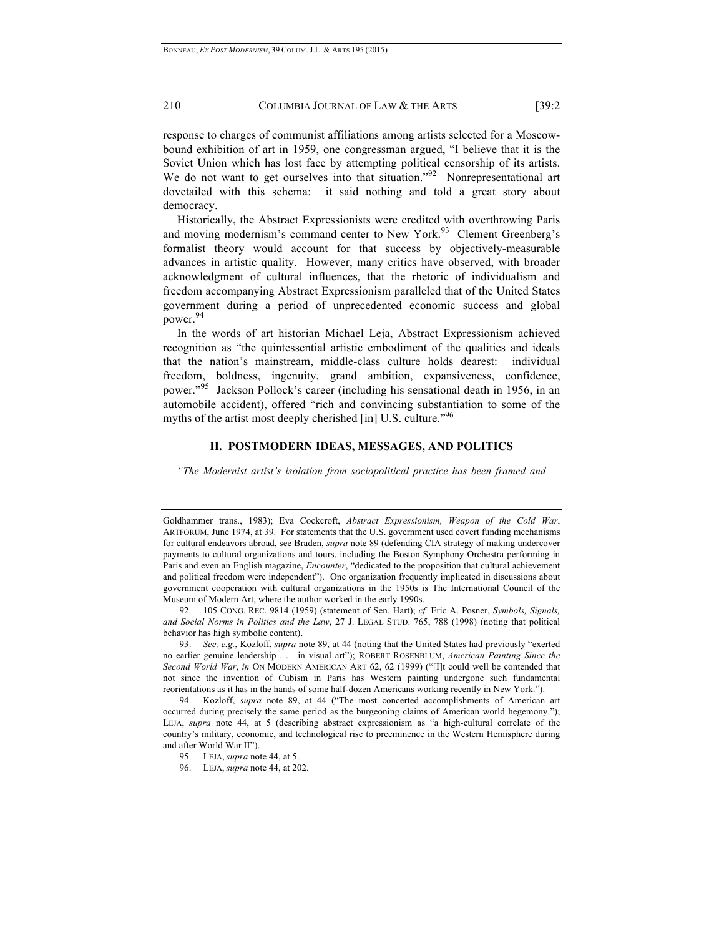response to charges of communist affiliations among artists selected for a Moscowbound exhibition of art in 1959, one congressman argued, "I believe that it is the Soviet Union which has lost face by attempting political censorship of its artists. We do not want to get ourselves into that situation."<sup>92</sup> Nonrepresentational art dovetailed with this schema: it said nothing and told a great story about democracy.

Historically, the Abstract Expressionists were credited with overthrowing Paris and moving modernism's command center to New York.<sup>93</sup> Clement Greenberg's formalist theory would account for that success by objectively-measurable advances in artistic quality. However, many critics have observed, with broader acknowledgment of cultural influences, that the rhetoric of individualism and freedom accompanying Abstract Expressionism paralleled that of the United States government during a period of unprecedented economic success and global power.<sup>94</sup>

In the words of art historian Michael Leja, Abstract Expressionism achieved recognition as "the quintessential artistic embodiment of the qualities and ideals that the nation's mainstream, middle-class culture holds dearest: individual freedom, boldness, ingenuity, grand ambition, expansiveness, confidence, power."95 Jackson Pollock's career (including his sensational death in 1956, in an automobile accident), offered "rich and convincing substantiation to some of the myths of the artist most deeply cherished [in] U.S. culture.<sup>"96</sup>

## **II. POSTMODERN IDEAS, MESSAGES, AND POLITICS**

*"The Modernist artist's isolation from sociopolitical practice has been framed and* 

93. *See, e.g.*, Kozloff, *supra* note 89, at 44 (noting that the United States had previously "exerted no earlier genuine leadership . . . in visual art"); ROBERT ROSENBLUM, *American Painting Since the Second World War*, *in* ON MODERN AMERICAN ART 62, 62 (1999) ("[I]t could well be contended that not since the invention of Cubism in Paris has Western painting undergone such fundamental reorientations as it has in the hands of some half-dozen Americans working recently in New York.").

94. Kozloff, *supra* note 89, at 44 ("The most concerted accomplishments of American art occurred during precisely the same period as the burgeoning claims of American world hegemony."); LEJA, *supra* note 44, at 5 (describing abstract expressionism as "a high-cultural correlate of the country's military, economic, and technological rise to preeminence in the Western Hemisphere during and after World War II").

96. LEJA, *supra* note 44, at 202.

Goldhammer trans., 1983); Eva Cockcroft, *Abstract Expressionism, Weapon of the Cold War*, ARTFORUM, June 1974, at 39. For statements that the U.S. government used covert funding mechanisms for cultural endeavors abroad, see Braden, *supra* note 89 (defending CIA strategy of making undercover payments to cultural organizations and tours, including the Boston Symphony Orchestra performing in Paris and even an English magazine, *Encounter*, "dedicated to the proposition that cultural achievement and political freedom were independent"). One organization frequently implicated in discussions about government cooperation with cultural organizations in the 1950s is The International Council of the Museum of Modern Art, where the author worked in the early 1990s.

<sup>92.</sup> 105 CONG. REC. 9814 (1959) (statement of Sen. Hart); *cf.* Eric A. Posner, *Symbols, Signals, and Social Norms in Politics and the Law*, 27 J. LEGAL STUD. 765, 788 (1998) (noting that political behavior has high symbolic content).

<sup>95.</sup> LEJA, *supra* note 44, at 5.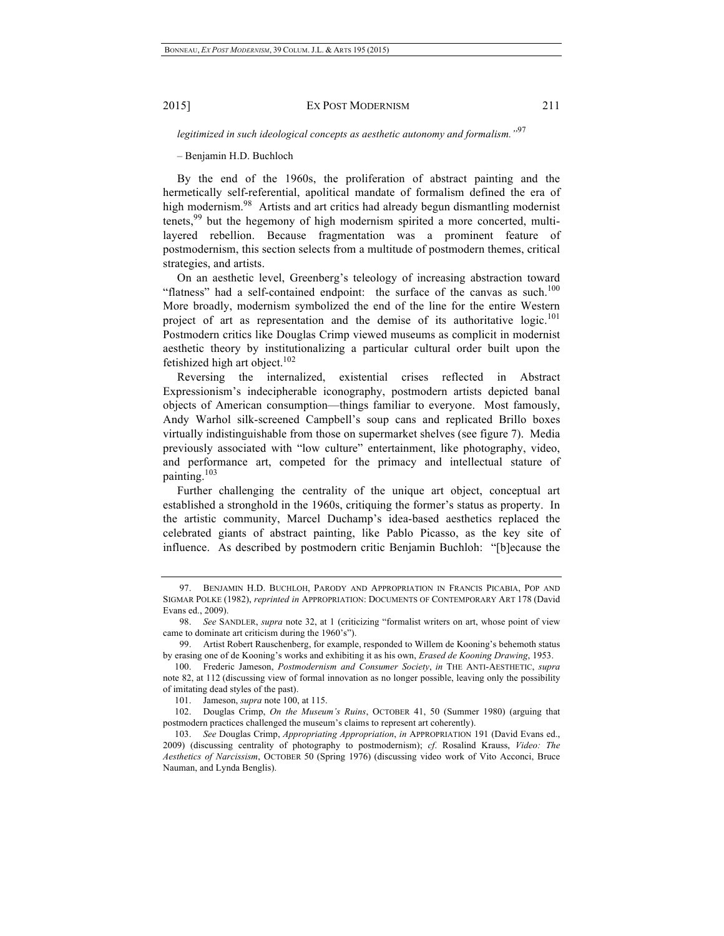*legitimized in such ideological concepts as aesthetic autonomy and formalism."*<sup>97</sup>

– Benjamin H.D. Buchloch

By the end of the 1960s, the proliferation of abstract painting and the hermetically self-referential, apolitical mandate of formalism defined the era of high modernism.<sup>98</sup> Artists and art critics had already begun dismantling modernist tenets,<sup>99</sup> but the hegemony of high modernism spirited a more concerted, multilayered rebellion. Because fragmentation was a prominent feature of postmodernism, this section selects from a multitude of postmodern themes, critical strategies, and artists.

On an aesthetic level, Greenberg's teleology of increasing abstraction toward "flatness" had a self-contained endpoint: the surface of the canvas as such.<sup>100</sup> More broadly, modernism symbolized the end of the line for the entire Western project of art as representation and the demise of its authoritative logic.<sup>101</sup> Postmodern critics like Douglas Crimp viewed museums as complicit in modernist aesthetic theory by institutionalizing a particular cultural order built upon the fetishized high art object.<sup>102</sup>

Reversing the internalized, existential crises reflected in Abstract Expressionism's indecipherable iconography, postmodern artists depicted banal objects of American consumption—things familiar to everyone. Most famously, Andy Warhol silk-screened Campbell's soup cans and replicated Brillo boxes virtually indistinguishable from those on supermarket shelves (see figure 7). Media previously associated with "low culture" entertainment, like photography, video, and performance art, competed for the primacy and intellectual stature of painting.<sup>103</sup>

Further challenging the centrality of the unique art object, conceptual art established a stronghold in the 1960s, critiquing the former's status as property. In the artistic community, Marcel Duchamp's idea-based aesthetics replaced the celebrated giants of abstract painting, like Pablo Picasso, as the key site of influence. As described by postmodern critic Benjamin Buchloh: "[b]ecause the

<sup>97.</sup> BENJAMIN H.D. BUCHLOH, PARODY AND APPROPRIATION IN FRANCIS PICABIA, POP AND SIGMAR POLKE (1982), *reprinted in* APPROPRIATION: DOCUMENTS OF CONTEMPORARY ART 178 (David Evans ed., 2009).

<sup>98.</sup> *See* SANDLER, *supra* note 32, at 1 (criticizing "formalist writers on art, whose point of view came to dominate art criticism during the 1960's").

<sup>99.</sup> Artist Robert Rauschenberg, for example, responded to Willem de Kooning's behemoth status by erasing one of de Kooning's works and exhibiting it as his own, *Erased de Kooning Drawing*, 1953.

<sup>100.</sup> Frederic Jameson, *Postmodernism and Consumer Society*, *in* THE ANTI-AESTHETIC, *supra* note 82, at 112 (discussing view of formal innovation as no longer possible, leaving only the possibility of imitating dead styles of the past).

<sup>101.</sup> Jameson, *supra* note 100, at 115.

<sup>102.</sup> Douglas Crimp, *On the Museum's Ruins*, OCTOBER 41, 50 (Summer 1980) (arguing that postmodern practices challenged the museum's claims to represent art coherently).

<sup>103.</sup> *See* Douglas Crimp, *Appropriating Appropriation*, *in* APPROPRIATION 191 (David Evans ed., 2009) (discussing centrality of photography to postmodernism); *cf*. Rosalind Krauss, *Video: The Aesthetics of Narcissism*, OCTOBER 50 (Spring 1976) (discussing video work of Vito Acconci, Bruce Nauman, and Lynda Benglis).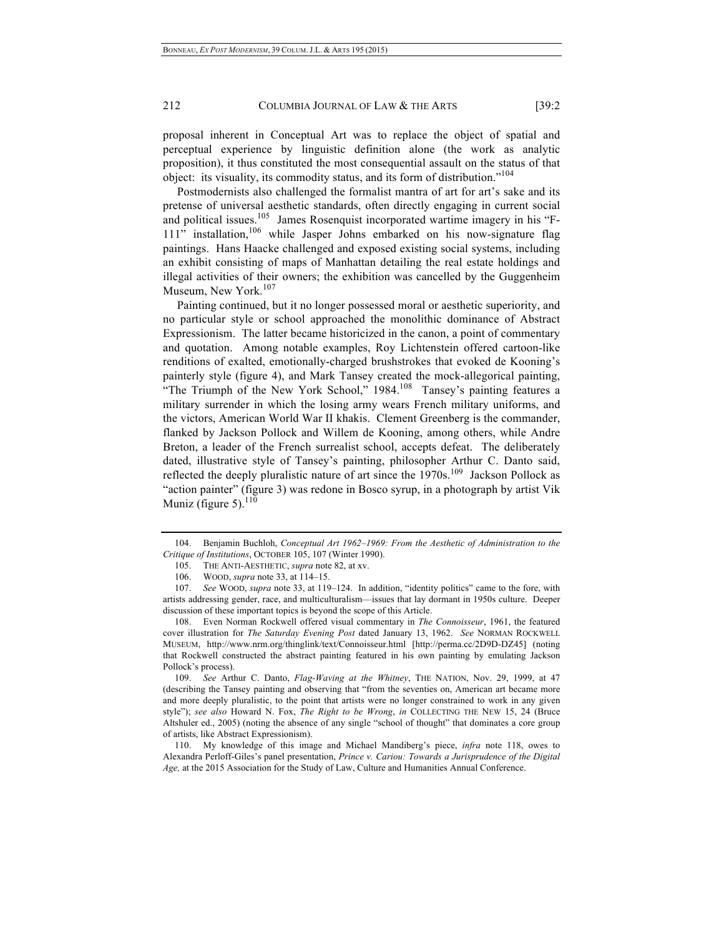proposal inherent in Conceptual Art was to replace the object of spatial and perceptual experience by linguistic definition alone (the work as analytic proposition), it thus constituted the most consequential assault on the status of that object: its visuality, its commodity status, and its form of distribution."<sup>104</sup>

Postmodernists also challenged the formalist mantra of art for art's sake and its pretense of universal aesthetic standards, often directly engaging in current social and political issues.<sup>105</sup> James Rosenquist incorporated wartime imagery in his "F-111" installation,<sup>106</sup> while Jasper Johns embarked on his now-signature flag paintings. Hans Haacke challenged and exposed existing social systems, including an exhibit consisting of maps of Manhattan detailing the real estate holdings and illegal activities of their owners; the exhibition was cancelled by the Guggenheim Museum, New York.<sup>107</sup>

Painting continued, but it no longer possessed moral or aesthetic superiority, and no particular style or school approached the monolithic dominance of Abstract Expressionism. The latter became historicized in the canon, a point of commentary and quotation. Among notable examples, Roy Lichtenstein offered cartoon-like renditions of exalted, emotionally-charged brushstrokes that evoked de Kooning's painterly style (figure 4), and Mark Tansey created the mock-allegorical painting, "The Triumph of the New York School," 1984.<sup>108</sup> Tansey's painting features a military surrender in which the losing army wears French military uniforms, and the victors, American World War II khakis. Clement Greenberg is the commander, flanked by Jackson Pollock and Willem de Kooning, among others, while Andre Breton, a leader of the French surrealist school, accepts defeat. The deliberately dated, illustrative style of Tansey's painting, philosopher Arthur C. Danto said, reflected the deeply pluralistic nature of art since the  $1970s$ .<sup>109</sup> Jackson Pollock as "action painter" (figure 3) was redone in Bosco syrup, in a photograph by artist Vik Muniz (figure 5). $110$ 

<sup>104.</sup> Benjamin Buchloh, *Conceptual Art 1962–1969: From the Aesthetic of Administration to the Critique of Institutions*, OCTOBER 105, 107 (Winter 1990).

<sup>105.</sup> THE ANTI-AESTHETIC, *supra* note 82, at xv.

<sup>106.</sup> WOOD, *supra* note 33, at 114–15.

<sup>107.</sup> *See* WOOD, *supra* note 33, at 119–124. In addition, "identity politics" came to the fore, with artists addressing gender, race, and multiculturalism—issues that lay dormant in 1950s culture. Deeper discussion of these important topics is beyond the scope of this Article.

<sup>108.</sup> Even Norman Rockwell offered visual commentary in *The Connoisseur*, 1961, the featured cover illustration for *The Saturday Evening Post* dated January 13, 1962. *See* NORMAN ROCKWELL MUSEUM, http://www.nrm.org/thinglink/text/Connoisseur.html [http://perma.cc/2D9D-DZ45] (noting that Rockwell constructed the abstract painting featured in his own painting by emulating Jackson Pollock's process).

<sup>109.</sup> *See* Arthur C. Danto, *Flag-Waving at the Whitney*, THE NATION, Nov. 29, 1999, at 47 (describing the Tansey painting and observing that "from the seventies on, American art became more and more deeply pluralistic, to the point that artists were no longer constrained to work in any given style"); *see also* Howard N. Fox, *The Right to be Wrong*, *in* COLLECTING THE NEW 15, 24 (Bruce Altshuler ed., 2005) (noting the absence of any single "school of thought" that dominates a core group of artists, like Abstract Expressionism).

<sup>110.</sup> My knowledge of this image and Michael Mandiberg's piece, *infra* note 118, owes to Alexandra Perloff-Giles's panel presentation, *Prince v. Cariou: Towards a Jurisprudence of the Digital Age,* at the 2015 Association for the Study of Law, Culture and Humanities Annual Conference.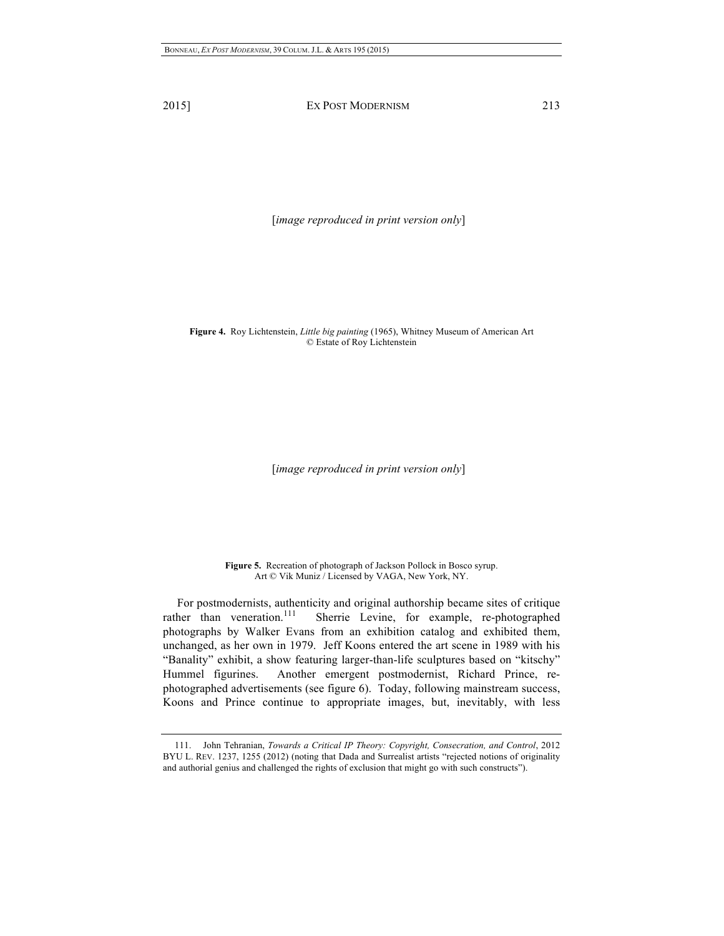[*image reproduced in print version only*]

**Figure 4.** Roy Lichtenstein, *Little big painting* (1965), Whitney Museum of American Art © Estate of Roy Lichtenstein

[*image reproduced in print version only*]

**Figure 5.** Recreation of photograph of Jackson Pollock in Bosco syrup. Art © Vik Muniz / Licensed by VAGA, New York, NY.

For postmodernists, authenticity and original authorship became sites of critique rather than veneration.<sup>111</sup> Sherrie Levine, for example, re-photographed Sherrie Levine, for example, re-photographed photographs by Walker Evans from an exhibition catalog and exhibited them, unchanged, as her own in 1979. Jeff Koons entered the art scene in 1989 with his "Banality" exhibit, a show featuring larger-than-life sculptures based on "kitschy" Hummel figurines. Another emergent postmodernist, Richard Prince, rephotographed advertisements (see figure 6). Today, following mainstream success, Koons and Prince continue to appropriate images, but, inevitably, with less

<sup>111.</sup> John Tehranian, *Towards a Critical IP Theory: Copyright, Consecration, and Control*, 2012 BYU L. REV. 1237, 1255 (2012) (noting that Dada and Surrealist artists "rejected notions of originality and authorial genius and challenged the rights of exclusion that might go with such constructs").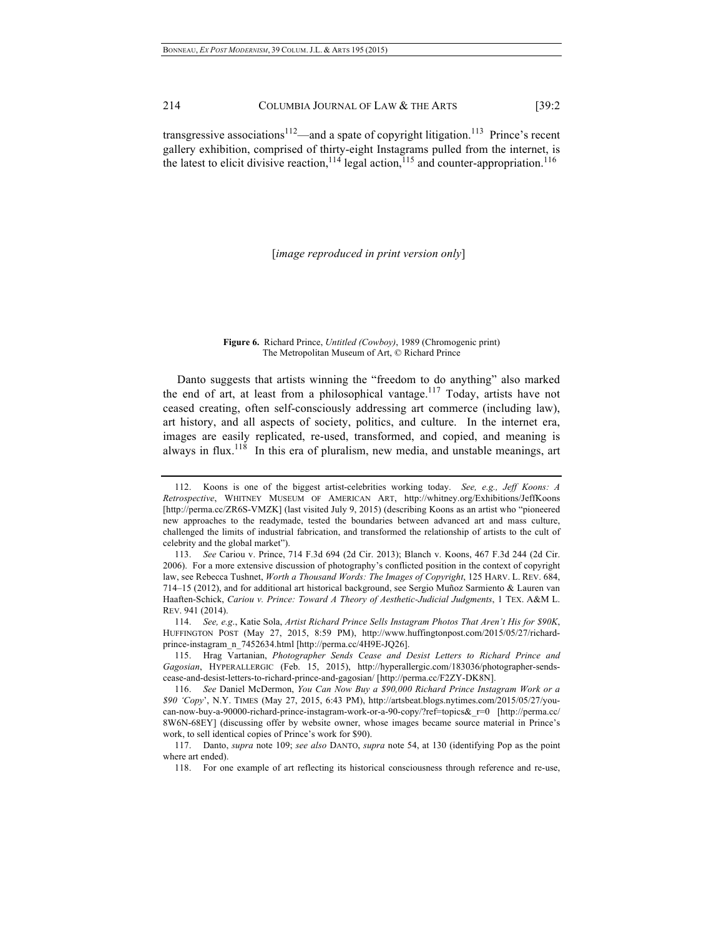transgressive associations<sup>112</sup>—and a spate of copyright litigation.<sup>113</sup> Prince's recent gallery exhibition, comprised of thirty-eight Instagrams pulled from the internet, is the latest to elicit divisive reaction,  $^{114}$  legal action,  $^{115}$  and counter-appropriation.<sup>116</sup>

[*image reproduced in print version only*]

#### **Figure 6.** Richard Prince, *Untitled (Cowboy)*, 1989 (Chromogenic print) The Metropolitan Museum of Art, © Richard Prince

Danto suggests that artists winning the "freedom to do anything" also marked the end of art, at least from a philosophical vantage.<sup>117</sup> Today, artists have not ceased creating, often self-consciously addressing art commerce (including law), art history, and all aspects of society, politics, and culture. In the internet era, images are easily replicated, re-used, transformed, and copied, and meaning is always in flux.<sup>118</sup> In this era of pluralism, new media, and unstable meanings, art

114. *See, e.g*., Katie Sola, *Artist Richard Prince Sells Instagram Photos That Aren't His for \$90K*, HUFFINGTON POST (May 27, 2015, 8:59 PM), http://www.huffingtonpost.com/2015/05/27/richardprince-instagram\_n\_7452634.html [http://perma.cc/4H9E-JQ26].

115. Hrag Vartanian, *Photographer Sends Cease and Desist Letters to Richard Prince and Gagosian*, HYPERALLERGIC (Feb. 15, 2015), http://hyperallergic.com/183036/photographer-sendscease-and-desist-letters-to-richard-prince-and-gagosian/ [http://perma.cc/F2ZY-DK8N].

<sup>112.</sup> Koons is one of the biggest artist-celebrities working today. *See, e.g., Jeff Koons: A Retrospective*, WHITNEY MUSEUM OF AMERICAN ART, http://whitney.org/Exhibitions/JeffKoons [http://perma.cc/ZR6S-VMZK] (last visited July 9, 2015) (describing Koons as an artist who "pioneered new approaches to the readymade, tested the boundaries between advanced art and mass culture, challenged the limits of industrial fabrication, and transformed the relationship of artists to the cult of celebrity and the global market").

<sup>113.</sup> *See* Cariou v. Prince, 714 F.3d 694 (2d Cir. 2013); Blanch v. Koons, 467 F.3d 244 (2d Cir. 2006). For a more extensive discussion of photography's conflicted position in the context of copyright law, see Rebecca Tushnet, *Worth a Thousand Words: The Images of Copyright*, 125 HARV. L. REV. 684, 714–15 (2012), and for additional art historical background, see Sergio Muñoz Sarmiento & Lauren van Haaften-Schick, *Cariou v. Prince: Toward A Theory of Aesthetic-Judicial Judgments*, 1 TEX. A&M L. REV. 941 (2014).

<sup>116.</sup> *See* Daniel McDermon, *You Can Now Buy a \$90,000 Richard Prince Instagram Work or a \$90 'Copy*', N.Y. TIMES (May 27, 2015, 6:43 PM), http://artsbeat.blogs.nytimes.com/2015/05/27/youcan-now-buy-a-90000-richard-prince-instagram-work-or-a-90-copy/?ref=topics&\_r=0 [http://perma.cc/ 8W6N-68EY] (discussing offer by website owner, whose images became source material in Prince's work, to sell identical copies of Prince's work for \$90).

<sup>117.</sup> Danto, *supra* note 109; *see also* DANTO, *supra* note 54, at 130 (identifying Pop as the point where art ended).

<sup>118.</sup> For one example of art reflecting its historical consciousness through reference and re-use,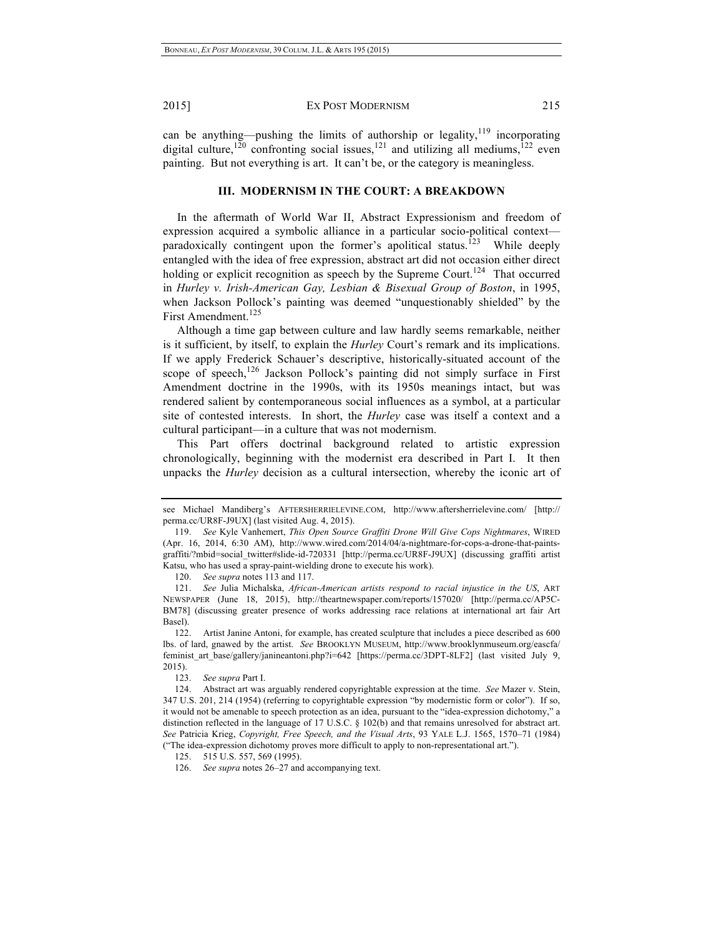can be anything—pushing the limits of authorship or legality, $119$  incorporating digital culture,<sup>120</sup> confronting social issues,<sup>121</sup> and utilizing all mediums,<sup>122</sup> even painting. But not everything is art. It can't be, or the category is meaningless.

## **III. MODERNISM IN THE COURT: A BREAKDOWN**

In the aftermath of World War II, Abstract Expressionism and freedom of expression acquired a symbolic alliance in a particular socio-political context paradoxically contingent upon the former's apolitical status.<sup>123</sup> While deeply entangled with the idea of free expression, abstract art did not occasion either direct holding or explicit recognition as speech by the Supreme Court.<sup>124</sup> That occurred in *Hurley v. Irish-American Gay, Lesbian & Bisexual Group of Boston*, in 1995, when Jackson Pollock's painting was deemed "unquestionably shielded" by the First Amendment.<sup>125</sup>

Although a time gap between culture and law hardly seems remarkable, neither is it sufficient, by itself, to explain the *Hurley* Court's remark and its implications. If we apply Frederick Schauer's descriptive, historically-situated account of the scope of speech, $126$  Jackson Pollock's painting did not simply surface in First Amendment doctrine in the 1990s, with its 1950s meanings intact, but was rendered salient by contemporaneous social influences as a symbol, at a particular site of contested interests. In short, the *Hurley* case was itself a context and a cultural participant—in a culture that was not modernism.

This Part offers doctrinal background related to artistic expression chronologically, beginning with the modernist era described in Part I. It then unpacks the *Hurley* decision as a cultural intersection, whereby the iconic art of

see Michael Mandiberg's AFTERSHERRIELEVINE.COM, http://www.aftersherrielevine.com/ [http:// perma.cc/UR8F-J9UX] (last visited Aug. 4, 2015).

<sup>119.</sup> *See* Kyle Vanhemert, *This Open Source Graffiti Drone Will Give Cops Nightmares*, WIRED (Apr. 16, 2014, 6:30 AM), http://www.wired.com/2014/04/a-nightmare-for-cops-a-drone-that-paintsgraffiti/?mbid=social\_twitter#slide-id-720331 [http://perma.cc/UR8F-J9UX] (discussing graffiti artist Katsu, who has used a spray-paint-wielding drone to execute his work).

<sup>120.</sup> *See supra* notes 113 and 117.

<sup>121.</sup> *See* Julia Michalska, *African-American artists respond to racial injustice in the US*, ART NEWSPAPER (June 18, 2015), http://theartnewspaper.com/reports/157020/ [http://perma.cc/AP5C-BM78] (discussing greater presence of works addressing race relations at international art fair Art Basel).

<sup>122.</sup> Artist Janine Antoni, for example, has created sculpture that includes a piece described as 600 lbs. of lard, gnawed by the artist. *See* BROOKLYN MUSEUM, http://www.brooklynmuseum.org/eascfa/ feminist art base/gallery/janineantoni.php?i=642 [https://perma.cc/3DPT-8LF2] (last visited July 9, 2015).

<sup>123.</sup> *See supra* Part I.

<sup>124.</sup> Abstract art was arguably rendered copyrightable expression at the time. *See* Mazer v. Stein, 347 U.S. 201, 214 (1954) (referring to copyrightable expression "by modernistic form or color"). If so, it would not be amenable to speech protection as an idea, pursuant to the "idea-expression dichotomy," a distinction reflected in the language of 17 U.S.C. § 102(b) and that remains unresolved for abstract art. *See* Patricia Krieg, *Copyright, Free Speech, and the Visual Arts*, 93 YALE L.J. 1565, 1570–71 (1984) ("The idea-expression dichotomy proves more difficult to apply to non-representational art.").

<sup>125.</sup> 515 U.S. 557, 569 (1995).

<sup>126.</sup> *See supra* notes 26–27 and accompanying text.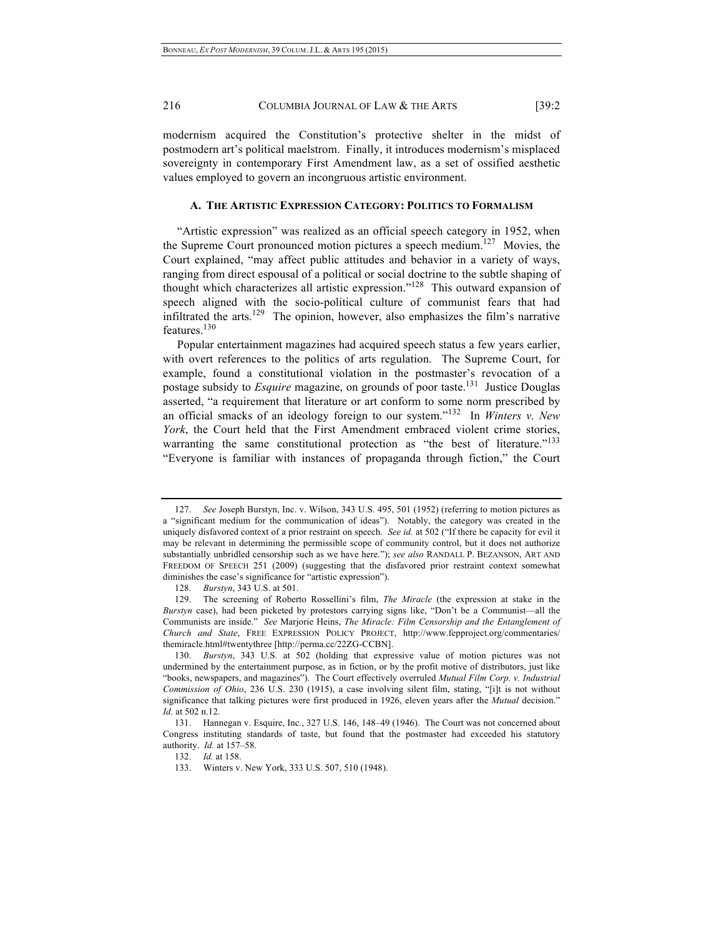modernism acquired the Constitution's protective shelter in the midst of postmodern art's political maelstrom. Finally, it introduces modernism's misplaced sovereignty in contemporary First Amendment law, as a set of ossified aesthetic values employed to govern an incongruous artistic environment.

#### **A. THE ARTISTIC EXPRESSION CATEGORY: POLITICS TO FORMALISM**

"Artistic expression" was realized as an official speech category in 1952, when the Supreme Court pronounced motion pictures a speech medium.<sup>127</sup> Movies, the Court explained, "may affect public attitudes and behavior in a variety of ways, ranging from direct espousal of a political or social doctrine to the subtle shaping of thought which characterizes all artistic expression."128 This outward expansion of speech aligned with the socio-political culture of communist fears that had infiltrated the arts.<sup>129</sup> The opinion, however, also emphasizes the film's narrative features.<sup>130</sup>

Popular entertainment magazines had acquired speech status a few years earlier, with overt references to the politics of arts regulation. The Supreme Court, for example, found a constitutional violation in the postmaster's revocation of a postage subsidy to *Esquire* magazine, on grounds of poor taste.131 Justice Douglas asserted, "a requirement that literature or art conform to some norm prescribed by an official smacks of an ideology foreign to our system."132 In *Winters v. New York*, the Court held that the First Amendment embraced violent crime stories, warranting the same constitutional protection as "the best of literature."<sup>133</sup> "Everyone is familiar with instances of propaganda through fiction," the Court

<sup>127.</sup> *See* Joseph Burstyn, Inc. v. Wilson, 343 U.S. 495, 501 (1952) (referring to motion pictures as a "significant medium for the communication of ideas"). Notably, the category was created in the uniquely disfavored context of a prior restraint on speech. *See id.* at 502 ("If there be capacity for evil it may be relevant in determining the permissible scope of community control, but it does not authorize substantially unbridled censorship such as we have here."); *see also* RANDALL P. BEZANSON, ART AND FREEDOM OF SPEECH 251 (2009) (suggesting that the disfavored prior restraint context somewhat diminishes the case's significance for "artistic expression").

<sup>128.</sup> *Burstyn*, 343 U.S. at 501.

<sup>129.</sup> The screening of Roberto Rossellini's film, *The Miracle* (the expression at stake in the *Burstyn* case), had been picketed by protestors carrying signs like, "Don't be a Communist—all the Communists are inside." *See* Marjorie Heins, *The Miracle: Film Censorship and the Entanglement of Church and State*, FREE EXPRESSION POLICY PROJECT, http://www.fepproject.org/commentaries/ themiracle.html#twentythree [http://perma.cc/22ZG-CCBN].

<sup>130.</sup> *Burstyn*, 343 U.S. at 502 (holding that expressive value of motion pictures was not undermined by the entertainment purpose, as in fiction, or by the profit motive of distributors, just like "books, newspapers, and magazines"). The Court effectively overruled *Mutual Film Corp. v. Industrial Commission of Ohio*, 236 U.S. 230 (1915), a case involving silent film, stating, "[i]t is not without significance that talking pictures were first produced in 1926, eleven years after the *Mutual* decision." *Id.* at 502 n.12.

<sup>131.</sup> Hannegan v. Esquire, Inc*.*, 327 U.S. 146, 148–49 (1946). The Court was not concerned about Congress instituting standards of taste, but found that the postmaster had exceeded his statutory authority. *Id.* at 157–58.

<sup>132.</sup> *Id.* at 158.

<sup>133.</sup> Winters v. New York, 333 U.S. 507, 510 (1948).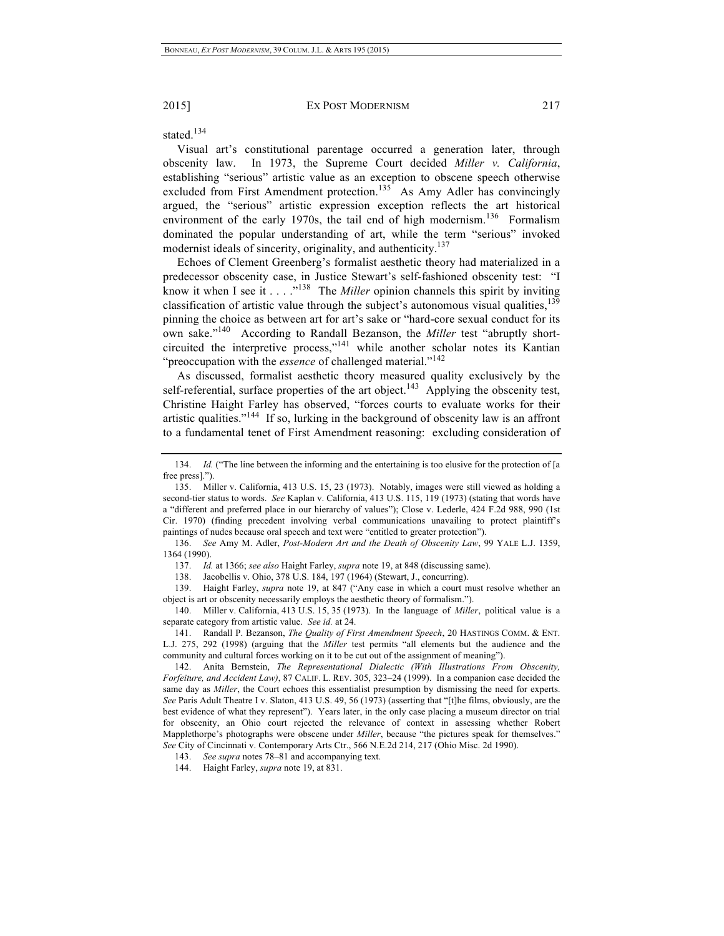stated.<sup>134</sup>

Visual art's constitutional parentage occurred a generation later, through obscenity law. In 1973, the Supreme Court decided *Miller v. California*, establishing "serious" artistic value as an exception to obscene speech otherwise excluded from First Amendment protection.<sup>135</sup> As Amy Adler has convincingly argued, the "serious" artistic expression exception reflects the art historical environment of the early 1970s, the tail end of high modernism.<sup>136</sup> Formalism dominated the popular understanding of art, while the term "serious" invoked modernist ideals of sincerity, originality, and authenticity.<sup>137</sup>

Echoes of Clement Greenberg's formalist aesthetic theory had materialized in a predecessor obscenity case, in Justice Stewart's self-fashioned obscenity test: "I know it when I see it . . . ."138 The *Miller* opinion channels this spirit by inviting classification of artistic value through the subject's autonomous visual qualities, $139$ pinning the choice as between art for art's sake or "hard-core sexual conduct for its own sake."140 According to Randall Bezanson, the *Miller* test "abruptly shortcircuited the interpretive process,"<sup>141</sup> while another scholar notes its Kantian "preoccupation with the *essence* of challenged material."<sup>142</sup>

As discussed, formalist aesthetic theory measured quality exclusively by the self-referential, surface properties of the art object.<sup>143</sup> Applying the obscenity test, Christine Haight Farley has observed, "forces courts to evaluate works for their artistic qualities."144 If so, lurking in the background of obscenity law is an affront to a fundamental tenet of First Amendment reasoning: excluding consideration of

136. *See* Amy M. Adler, *Post-Modern Art and the Death of Obscenity Law*, 99 YALE L.J. 1359, 1364 (1990).

137. *Id.* at 1366; *see also* Haight Farley, *supra* note 19, at 848 (discussing same).

138. Jacobellis v. Ohio, 378 U.S. 184, 197 (1964) (Stewart, J., concurring).

139. Haight Farley, *supra* note 19, at 847 ("Any case in which a court must resolve whether an object is art or obscenity necessarily employs the aesthetic theory of formalism.").

140. Miller v. California, 413 U.S. 15, 35 (1973). In the language of *Miller*, political value is a separate category from artistic value. *See id.* at 24.

141. Randall P. Bezanson, *The Quality of First Amendment Speech*, 20 HASTINGS COMM. & ENT. L.J. 275, 292 (1998) (arguing that the *Miller* test permits "all elements but the audience and the community and cultural forces working on it to be cut out of the assignment of meaning").

143. *See supra* notes 78–81 and accompanying text.

144. Haight Farley, *supra* note 19, at 831.

<sup>134.</sup> *Id.* ("The line between the informing and the entertaining is too elusive for the protection of [a free press.")

<sup>135.</sup> Miller v. California, 413 U.S. 15, 23 (1973). Notably, images were still viewed as holding a second-tier status to words. *See* Kaplan v. California, 413 U.S. 115, 119 (1973) (stating that words have a "different and preferred place in our hierarchy of values"); Close v. Lederle, 424 F.2d 988, 990 (1st Cir. 1970) (finding precedent involving verbal communications unavailing to protect plaintiff's paintings of nudes because oral speech and text were "entitled to greater protection").

<sup>142.</sup> Anita Bernstein, *The Representational Dialectic (With Illustrations From Obscenity, Forfeiture, and Accident Law)*, 87 CALIF. L. REV. 305, 323–24 (1999). In a companion case decided the same day as *Miller*, the Court echoes this essentialist presumption by dismissing the need for experts. *See* Paris Adult Theatre I v. Slaton, 413 U.S. 49, 56 (1973) (asserting that "[t]he films, obviously, are the best evidence of what they represent"). Years later, in the only case placing a museum director on trial for obscenity, an Ohio court rejected the relevance of context in assessing whether Robert Mapplethorpe's photographs were obscene under *Miller*, because "the pictures speak for themselves." *See* City of Cincinnati v. Contemporary Arts Ctr., 566 N.E.2d 214, 217 (Ohio Misc. 2d 1990).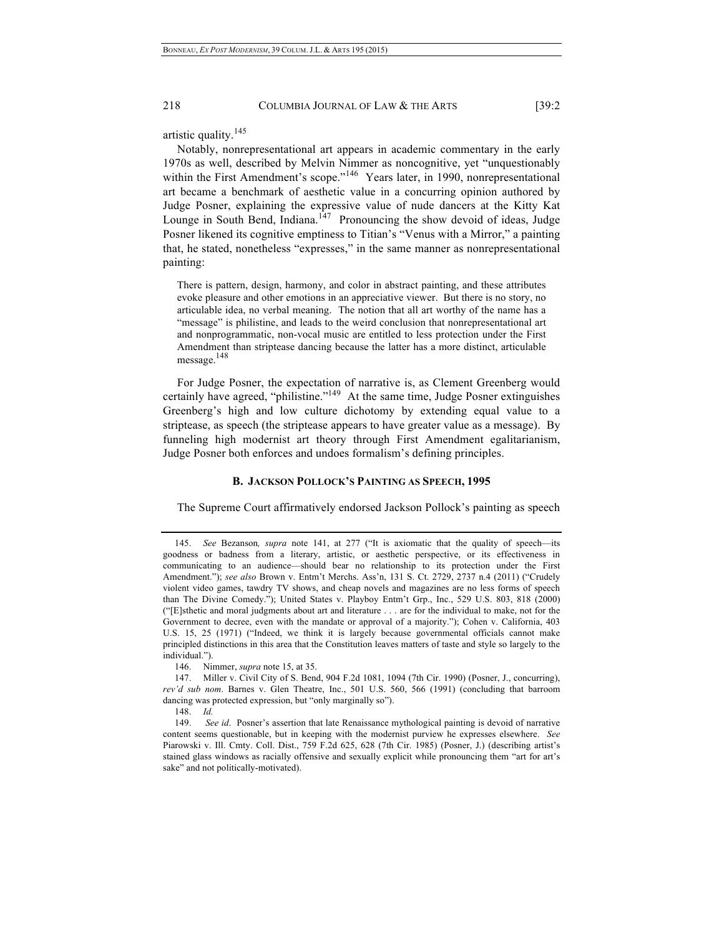artistic quality.<sup>145</sup>

Notably, nonrepresentational art appears in academic commentary in the early 1970s as well, described by Melvin Nimmer as noncognitive, yet "unquestionably within the First Amendment's scope."<sup>146</sup> Years later, in 1990, nonrepresentational art became a benchmark of aesthetic value in a concurring opinion authored by Judge Posner, explaining the expressive value of nude dancers at the Kitty Kat Lounge in South Bend, Indiana. $147$  Pronouncing the show devoid of ideas, Judge Posner likened its cognitive emptiness to Titian's "Venus with a Mirror," a painting that, he stated, nonetheless "expresses," in the same manner as nonrepresentational painting:

There is pattern, design, harmony, and color in abstract painting, and these attributes evoke pleasure and other emotions in an appreciative viewer. But there is no story, no articulable idea, no verbal meaning. The notion that all art worthy of the name has a "message" is philistine, and leads to the weird conclusion that nonrepresentational art and nonprogrammatic, non-vocal music are entitled to less protection under the First Amendment than striptease dancing because the latter has a more distinct, articulable message.<sup>148</sup>

For Judge Posner, the expectation of narrative is, as Clement Greenberg would certainly have agreed, "philistine."149 At the same time, Judge Posner extinguishes Greenberg's high and low culture dichotomy by extending equal value to a striptease, as speech (the striptease appears to have greater value as a message). By funneling high modernist art theory through First Amendment egalitarianism, Judge Posner both enforces and undoes formalism's defining principles.

## **B. JACKSON POLLOCK'S PAINTING AS SPEECH, 1995**

The Supreme Court affirmatively endorsed Jackson Pollock's painting as speech

147. Miller v. Civil City of S. Bend, 904 F.2d 1081, 1094 (7th Cir. 1990) (Posner, J., concurring), *rev'd sub nom*. Barnes v. Glen Theatre, Inc., 501 U.S. 560, 566 (1991) (concluding that barroom dancing was protected expression, but "only marginally so").

<sup>145.</sup> *See* Bezanson*, supra* note 141, at 277 ("It is axiomatic that the quality of speech—its goodness or badness from a literary, artistic, or aesthetic perspective, or its effectiveness in communicating to an audience—should bear no relationship to its protection under the First Amendment."); *see also* Brown v. Entm't Merchs. Ass'n, 131 S. Ct. 2729, 2737 n.4 (2011) ("Crudely violent video games, tawdry TV shows, and cheap novels and magazines are no less forms of speech than The Divine Comedy."); United States v. Playboy Entm't Grp., Inc., 529 U.S. 803, 818 (2000) ("[E]sthetic and moral judgments about art and literature . . . are for the individual to make, not for the Government to decree, even with the mandate or approval of a majority."); Cohen v. California, 403 U.S. 15, 25 (1971) ("Indeed, we think it is largely because governmental officials cannot make principled distinctions in this area that the Constitution leaves matters of taste and style so largely to the individual.").

<sup>146.</sup> Nimmer, *supra* note 15, at 35.

<sup>148.</sup> *Id.*

<sup>149.</sup> *See id*. Posner's assertion that late Renaissance mythological painting is devoid of narrative content seems questionable, but in keeping with the modernist purview he expresses elsewhere. *See* Piarowski v. Ill. Cmty. Coll. Dist., 759 F.2d 625, 628 (7th Cir. 1985) (Posner, J.) (describing artist's stained glass windows as racially offensive and sexually explicit while pronouncing them "art for art's sake" and not politically-motivated).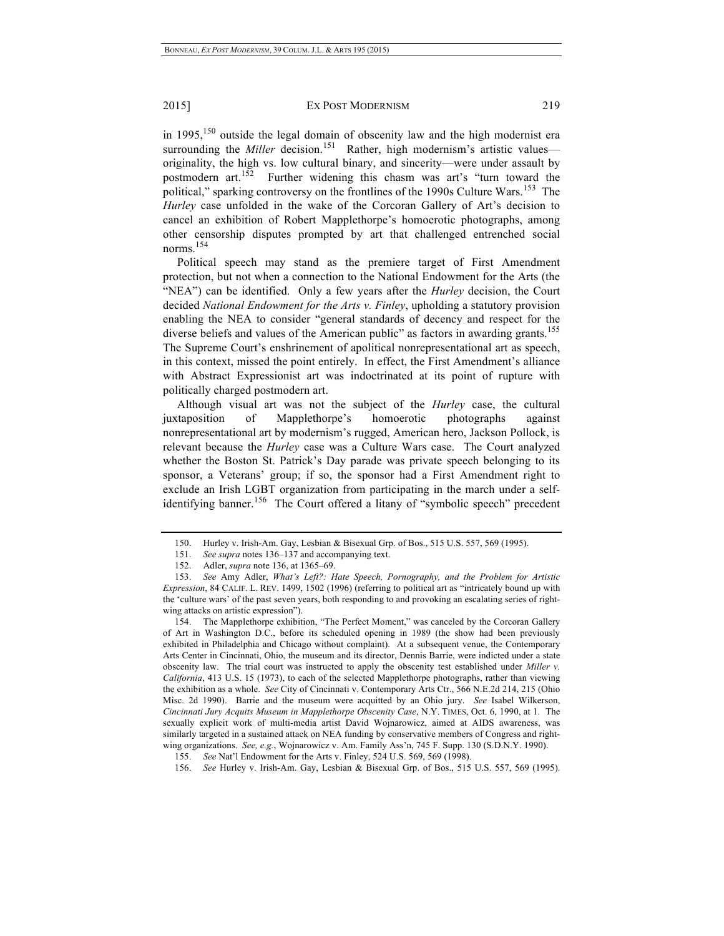in  $1995$ ,<sup>150</sup> outside the legal domain of obscenity law and the high modernist era surrounding the *Miller* decision.<sup>151</sup> Rather, high modernism's artistic values originality, the high vs. low cultural binary, and sincerity—were under assault by postmodern art. $152$  Further widening this chasm was art's "turn toward the political," sparking controversy on the frontlines of the 1990s Culture Wars.<sup>153</sup> The *Hurley* case unfolded in the wake of the Corcoran Gallery of Art's decision to cancel an exhibition of Robert Mapplethorpe's homoerotic photographs, among other censorship disputes prompted by art that challenged entrenched social norms.<sup>154</sup>

Political speech may stand as the premiere target of First Amendment protection, but not when a connection to the National Endowment for the Arts (the "NEA") can be identified. Only a few years after the *Hurley* decision, the Court decided *National Endowment for the Arts v. Finley*, upholding a statutory provision enabling the NEA to consider "general standards of decency and respect for the diverse beliefs and values of the American public" as factors in awarding grants.<sup>155</sup> The Supreme Court's enshrinement of apolitical nonrepresentational art as speech, in this context, missed the point entirely. In effect, the First Amendment's alliance with Abstract Expressionist art was indoctrinated at its point of rupture with politically charged postmodern art.

Although visual art was not the subject of the *Hurley* case, the cultural juxtaposition of Mapplethorpe's homoerotic photographs against nonrepresentational art by modernism's rugged, American hero, Jackson Pollock, is relevant because the *Hurley* case was a Culture Wars case. The Court analyzed whether the Boston St. Patrick's Day parade was private speech belonging to its sponsor, a Veterans' group; if so, the sponsor had a First Amendment right to exclude an Irish LGBT organization from participating in the march under a selfidentifying banner.<sup>156</sup> The Court offered a litany of "symbolic speech" precedent

<sup>150.</sup> Hurley v. Irish-Am. Gay, Lesbian & Bisexual Grp. of Bos., 515 U.S. 557, 569 (1995).

<sup>151.</sup> *See supra* notes 136–137 and accompanying text.

<sup>152.</sup> Adler, *supra* note 136, at 1365–69.

<sup>153.</sup> *See* Amy Adler, *What's Left?: Hate Speech, Pornography, and the Problem for Artistic Expression*, 84 CALIF. L. REV. 1499, 1502 (1996) (referring to political art as "intricately bound up with the 'culture wars' of the past seven years, both responding to and provoking an escalating series of rightwing attacks on artistic expression").

<sup>154.</sup> The Mapplethorpe exhibition, "The Perfect Moment," was canceled by the Corcoran Gallery of Art in Washington D.C., before its scheduled opening in 1989 (the show had been previously exhibited in Philadelphia and Chicago without complaint). At a subsequent venue, the Contemporary Arts Center in Cincinnati, Ohio, the museum and its director, Dennis Barrie, were indicted under a state obscenity law. The trial court was instructed to apply the obscenity test established under *Miller v. California*, 413 U.S. 15 (1973), to each of the selected Mapplethorpe photographs, rather than viewing the exhibition as a whole. *See* City of Cincinnati v. Contemporary Arts Ctr., 566 N.E.2d 214, 215 (Ohio Misc. 2d 1990). Barrie and the museum were acquitted by an Ohio jury. *See* Isabel Wilkerson, *Cincinnati Jury Acquits Museum in Mapplethorpe Obscenity Case*, N.Y. TIMES, Oct. 6, 1990, at 1. The sexually explicit work of multi-media artist David Wojnarowicz, aimed at AIDS awareness, was similarly targeted in a sustained attack on NEA funding by conservative members of Congress and rightwing organizations. *See, e.g.*, Wojnarowicz v. Am. Family Ass'n, 745 F. Supp. 130 (S.D.N.Y. 1990).

<sup>155.</sup> *See* Nat'l Endowment for the Arts v. Finley, 524 U.S. 569, 569 (1998).

<sup>156.</sup> *See* Hurley v. Irish-Am. Gay, Lesbian & Bisexual Grp. of Bos., 515 U.S. 557, 569 (1995).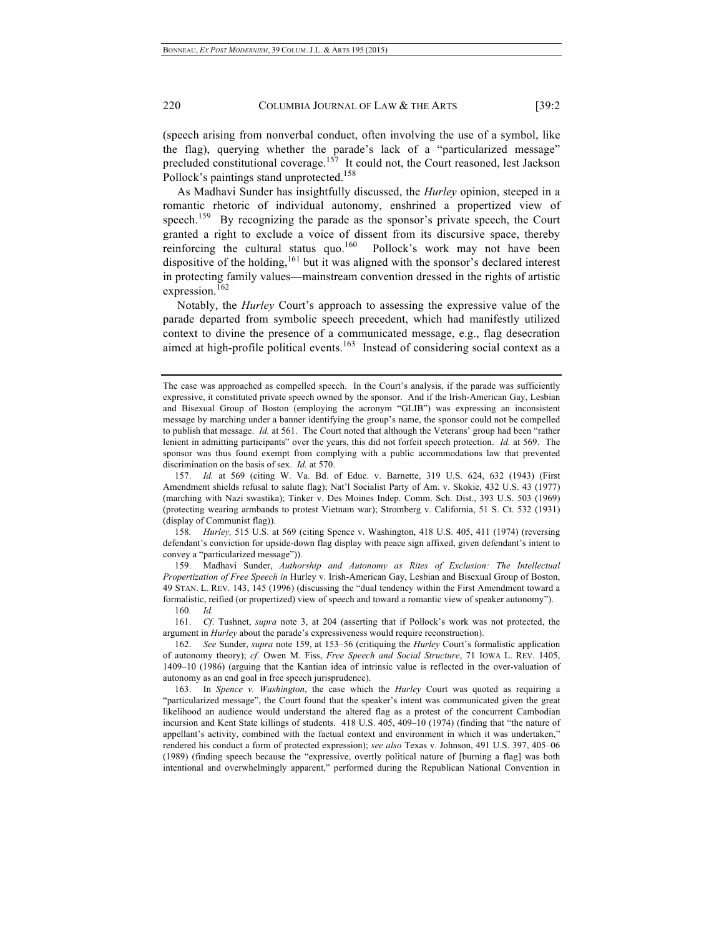(speech arising from nonverbal conduct, often involving the use of a symbol, like the flag), querying whether the parade's lack of a "particularized message" precluded constitutional coverage.<sup>157</sup> It could not, the Court reasoned, lest Jackson Pollock's paintings stand unprotected.<sup>158</sup>

As Madhavi Sunder has insightfully discussed, the *Hurley* opinion, steeped in a romantic rhetoric of individual autonomy, enshrined a propertized view of speech.<sup>159</sup> By recognizing the parade as the sponsor's private speech, the Court granted a right to exclude a voice of dissent from its discursive space, thereby reinforcing the cultural status quo.<sup>160</sup> Pollock's work may not have been dispositive of the holding,<sup>161</sup> but it was aligned with the sponsor's declared interest in protecting family values—mainstream convention dressed in the rights of artistic expression.<sup>162</sup>

Notably, the *Hurley* Court's approach to assessing the expressive value of the parade departed from symbolic speech precedent, which had manifestly utilized context to divine the presence of a communicated message, e.g., flag desecration aimed at high-profile political events.<sup>163</sup> Instead of considering social context as a

158*. Hurley,* 515 U.S. at 569 (citing Spence v. Washington, 418 U.S. 405, 411 (1974) (reversing defendant's conviction for upside-down flag display with peace sign affixed, given defendant's intent to convey a "particularized message")).

159. Madhavi Sunder, *Authorship and Autonomy as Rites of Exclusion: The Intellectual Propertization of Free Speech in* Hurley v. Irish-American Gay, Lesbian and Bisexual Group of Boston, 49 STAN. L. REV. 143, 145 (1996) (discussing the "dual tendency within the First Amendment toward a formalistic, reified (or propertized) view of speech and toward a romantic view of speaker autonomy"). 160*. Id.*

161. *Cf*. Tushnet, *supra* note 3, at 204 (asserting that if Pollock's work was not protected, the argument in *Hurley* about the parade's expressiveness would require reconstruction).

162. *See* Sunder, *supra* note 159, at 153–56 (critiquing the *Hurley* Court's formalistic application of autonomy theory); *cf*. Owen M. Fiss, *Free Speech and Social Structure*, 71 IOWA L. REV. 1405, 1409–10 (1986) (arguing that the Kantian idea of intrinsic value is reflected in the over-valuation of autonomy as an end goal in free speech jurisprudence).

163. In *Spence v. Washington*, the case which the *Hurley* Court was quoted as requiring a "particularized message", the Court found that the speaker's intent was communicated given the great likelihood an audience would understand the altered flag as a protest of the concurrent Cambodian incursion and Kent State killings of students. 418 U.S. 405, 409–10 (1974) (finding that "the nature of appellant's activity, combined with the factual context and environment in which it was undertaken," rendered his conduct a form of protected expression); *see also* Texas v. Johnson, 491 U.S. 397, 405–06 (1989) (finding speech because the "expressive, overtly political nature of [burning a flag] was both intentional and overwhelmingly apparent," performed during the Republican National Convention in

The case was approached as compelled speech. In the Court's analysis, if the parade was sufficiently expressive, it constituted private speech owned by the sponsor. And if the Irish-American Gay, Lesbian and Bisexual Group of Boston (employing the acronym "GLIB") was expressing an inconsistent message by marching under a banner identifying the group's name, the sponsor could not be compelled to publish that message. *Id.* at 561. The Court noted that although the Veterans' group had been "rather lenient in admitting participants" over the years, this did not forfeit speech protection. *Id.* at 569. The sponsor was thus found exempt from complying with a public accommodations law that prevented discrimination on the basis of sex. *Id.* at 570.

<sup>157.</sup> *Id.* at 569 (citing W. Va. Bd. of Educ. v. Barnette, 319 U.S. 624, 632 (1943) (First Amendment shields refusal to salute flag); Nat'l Socialist Party of Am. v. Skokie, 432 U.S. 43 (1977) (marching with Nazi swastika); Tinker v. Des Moines Indep. Comm. Sch. Dist., 393 U.S. 503 (1969) (protecting wearing armbands to protest Vietnam war); Stromberg v. California, 51 S. Ct. 532 (1931) (display of Communist flag)).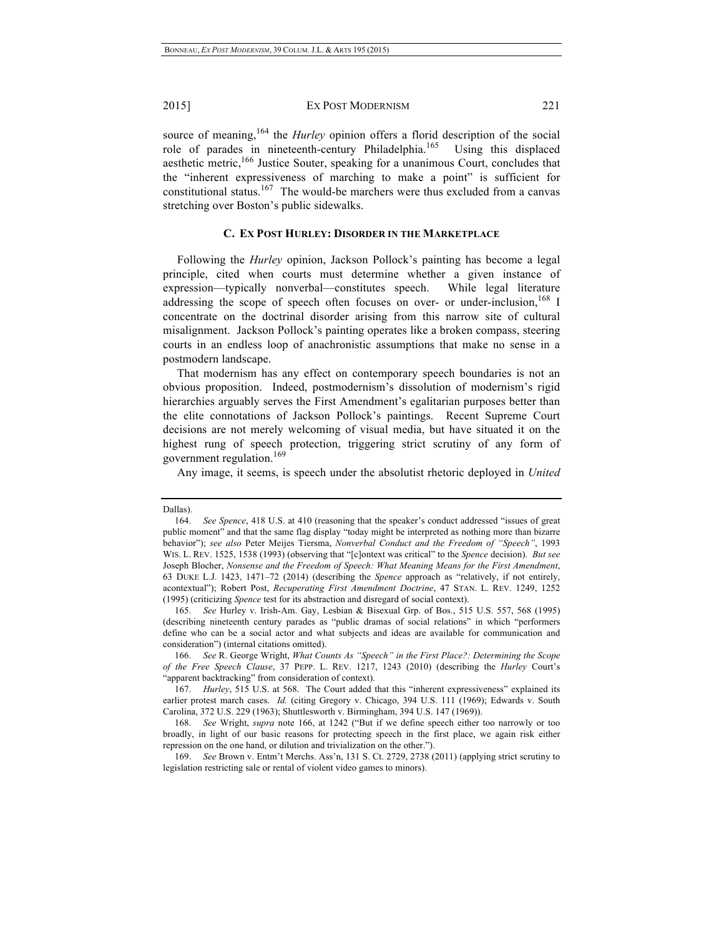source of meaning,<sup>164</sup> the *Hurley* opinion offers a florid description of the social role of parades in nineteenth-century Philadelphia.<sup>165</sup> Using this displaced aesthetic metric,<sup>166</sup> Justice Souter, speaking for a unanimous Court, concludes that the "inherent expressiveness of marching to make a point" is sufficient for constitutional status.<sup>167</sup> The would-be marchers were thus excluded from a canvas stretching over Boston's public sidewalks.

## **C. EX POST HURLEY: DISORDER IN THE MARKETPLACE**

Following the *Hurley* opinion, Jackson Pollock's painting has become a legal principle, cited when courts must determine whether a given instance of expression—typically nonverbal—constitutes speech. While legal literature addressing the scope of speech often focuses on over- or under-inclusion,  $^{168}$  I concentrate on the doctrinal disorder arising from this narrow site of cultural misalignment. Jackson Pollock's painting operates like a broken compass, steering courts in an endless loop of anachronistic assumptions that make no sense in a postmodern landscape.

That modernism has any effect on contemporary speech boundaries is not an obvious proposition. Indeed, postmodernism's dissolution of modernism's rigid hierarchies arguably serves the First Amendment's egalitarian purposes better than the elite connotations of Jackson Pollock's paintings. Recent Supreme Court decisions are not merely welcoming of visual media, but have situated it on the highest rung of speech protection, triggering strict scrutiny of any form of government regulation.<sup>169</sup>

Any image, it seems, is speech under the absolutist rhetoric deployed in *United* 

Dallas).

<sup>164.</sup> *See Spence*, 418 U.S. at 410 (reasoning that the speaker's conduct addressed "issues of great public moment" and that the same flag display "today might be interpreted as nothing more than bizarre behavior"); *see also* Peter Meijes Tiersma, *Nonverbal Conduct and the Freedom of "Speech"*, 1993 WIS. L. REV. 1525, 1538 (1993) (observing that "[c]ontext was critical" to the *Spence* decision). *But see* Joseph Blocher, *Nonsense and the Freedom of Speech: What Meaning Means for the First Amendment*, 63 DUKE L.J. 1423, 1471–72 (2014) (describing the *Spence* approach as "relatively, if not entirely, acontextual"); Robert Post, *Recuperating First Amendment Doctrine*, 47 STAN. L. REV. 1249, 1252 (1995) (criticizing *Spence* test for its abstraction and disregard of social context).

<sup>165.</sup> *See* Hurley v. Irish-Am. Gay, Lesbian & Bisexual Grp. of Bos., 515 U.S. 557, 568 (1995) (describing nineteenth century parades as "public dramas of social relations" in which "performers define who can be a social actor and what subjects and ideas are available for communication and consideration") (internal citations omitted).

<sup>166.</sup> *See* R. George Wright, *What Counts As "Speech" in the First Place?: Determining the Scope of the Free Speech Clause*, 37 PEPP. L. REV. 1217, 1243 (2010) (describing the *Hurley* Court's "apparent backtracking" from consideration of context).

<sup>167.</sup> *Hurley*, 515 U.S. at 568. The Court added that this "inherent expressiveness" explained its earlier protest march cases. *Id.* (citing Gregory v. Chicago, 394 U.S. 111 (1969); Edwards v. South Carolina, 372 U.S. 229 (1963); Shuttlesworth v. Birmingham, 394 U.S. 147 (1969)).

<sup>168.</sup> *See* Wright, *supra* note 166, at 1242 ("But if we define speech either too narrowly or too broadly, in light of our basic reasons for protecting speech in the first place, we again risk either repression on the one hand, or dilution and trivialization on the other.").

<sup>169.</sup> *See* Brown v. Entm't Merchs. Ass'n, 131 S. Ct. 2729, 2738 (2011) (applying strict scrutiny to legislation restricting sale or rental of violent video games to minors).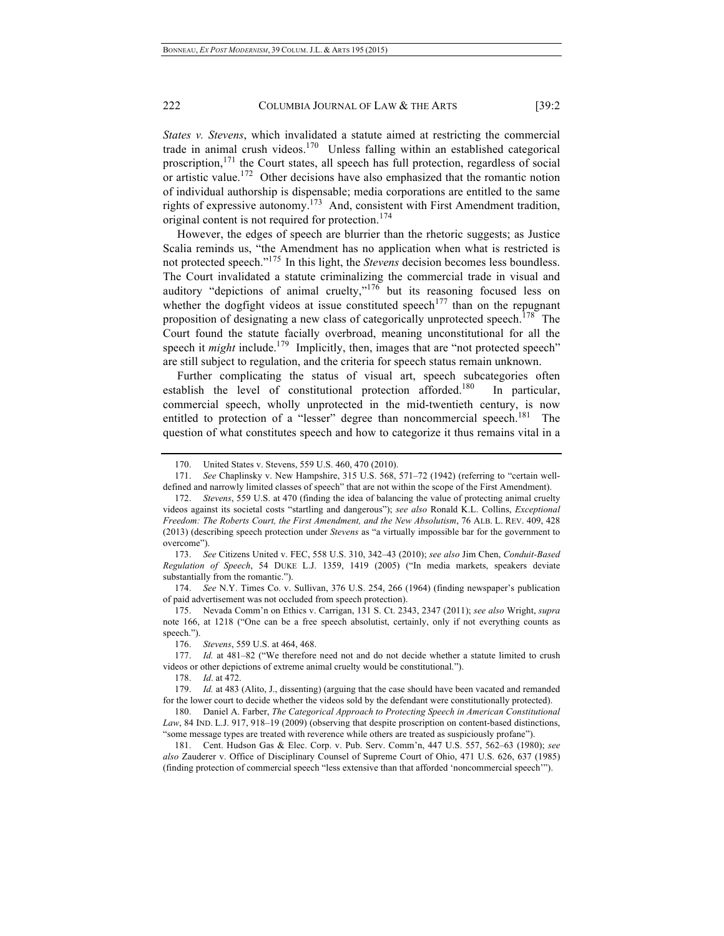*States v. Stevens*, which invalidated a statute aimed at restricting the commercial trade in animal crush videos.<sup>170</sup> Unless falling within an established categorical proscription,<sup>171</sup> the Court states, all speech has full protection, regardless of social or artistic value.172 Other decisions have also emphasized that the romantic notion of individual authorship is dispensable; media corporations are entitled to the same rights of expressive autonomy.173 And, consistent with First Amendment tradition, original content is not required for protection.<sup>174</sup>

However, the edges of speech are blurrier than the rhetoric suggests; as Justice Scalia reminds us, "the Amendment has no application when what is restricted is not protected speech."175 In this light, the *Stevens* decision becomes less boundless. The Court invalidated a statute criminalizing the commercial trade in visual and auditory "depictions of animal cruelty, $v^{176}$  but its reasoning focused less on whether the dogfight videos at issue constituted speech<sup>177</sup> than on the repugnant proposition of designating a new class of categorically unprotected speech.<sup>178</sup> The Court found the statute facially overbroad, meaning unconstitutional for all the speech it *might* include.<sup>179</sup> Implicitly, then, images that are "not protected speech" are still subject to regulation, and the criteria for speech status remain unknown.

Further complicating the status of visual art, speech subcategories often establish the level of constitutional protection afforded.<sup>180</sup> In particular, commercial speech, wholly unprotected in the mid-twentieth century, is now entitled to protection of a "lesser" degree than noncommercial speech.<sup>181</sup> The question of what constitutes speech and how to categorize it thus remains vital in a

173. *See* Citizens United v. FEC, 558 U.S. 310, 342–43 (2010); *see also* Jim Chen, *Conduit-Based Regulation of Speech*, 54 DUKE L.J. 1359, 1419 (2005) ("In media markets, speakers deviate substantially from the romantic.").

174. *See* N.Y. Times Co. v. Sullivan, 376 U.S. 254, 266 (1964) (finding newspaper's publication of paid advertisement was not occluded from speech protection).

175. Nevada Comm'n on Ethics v. Carrigan, 131 S. Ct. 2343, 2347 (2011); *see also* Wright, *supra* note 166, at 1218 ("One can be a free speech absolutist, certainly, only if not everything counts as speech.").

176. *Stevens*, 559 U.S. at 464, 468.

177. *Id.* at 481–82 ("We therefore need not and do not decide whether a statute limited to crush videos or other depictions of extreme animal cruelty would be constitutional.").

178. *Id*. at 472.

179. *Id.* at 483 (Alito, J., dissenting) (arguing that the case should have been vacated and remanded for the lower court to decide whether the videos sold by the defendant were constitutionally protected).

180. Daniel A. Farber, *The Categorical Approach to Protecting Speech in American Constitutional Law*, 84 IND. L.J. 917, 918–19 (2009) (observing that despite proscription on content-based distinctions, "some message types are treated with reverence while others are treated as suspiciously profane").

181. Cent. Hudson Gas & Elec. Corp. v. Pub. Serv. Comm'n, 447 U.S. 557, 562–63 (1980); *see also* Zauderer v. Office of Disciplinary Counsel of Supreme Court of Ohio, 471 U.S. 626, 637 (1985) (finding protection of commercial speech "less extensive than that afforded 'noncommercial speech'").

<sup>170.</sup> United States v. Stevens, 559 U.S. 460, 470 (2010).

<sup>171.</sup> *See* Chaplinsky v. New Hampshire, 315 U.S. 568, 571–72 (1942) (referring to "certain welldefined and narrowly limited classes of speech" that are not within the scope of the First Amendment).

<sup>172.</sup> *Stevens*, 559 U.S. at 470 (finding the idea of balancing the value of protecting animal cruelty videos against its societal costs "startling and dangerous"); *see also* Ronald K.L. Collins, *Exceptional Freedom: The Roberts Court, the First Amendment, and the New Absolutism*, 76 ALB. L. REV. 409, 428 (2013) (describing speech protection under *Stevens* as "a virtually impossible bar for the government to overcome").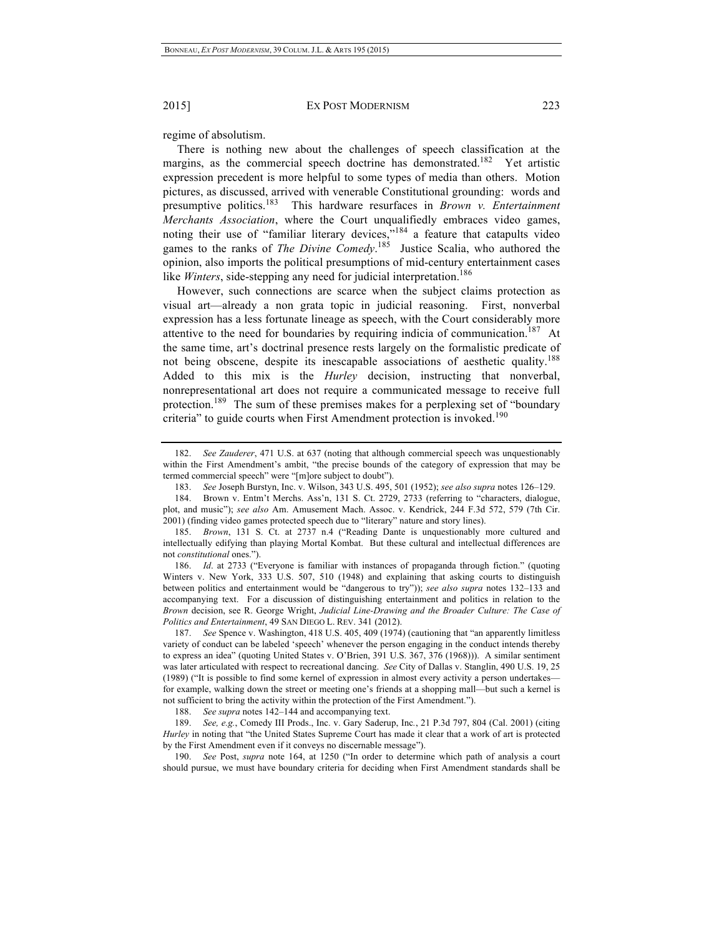regime of absolutism.

There is nothing new about the challenges of speech classification at the margins, as the commercial speech doctrine has demonstrated.<sup>182</sup> Yet artistic expression precedent is more helpful to some types of media than others. Motion pictures, as discussed, arrived with venerable Constitutional grounding: words and presumptive politics.183 This hardware resurfaces in *Brown v. Entertainment Merchants Association*, where the Court unqualifiedly embraces video games, noting their use of "familiar literary devices, $v^{184}$  a feature that catapults video games to the ranks of *The Divine Comedy*. 185 Justice Scalia, who authored the opinion, also imports the political presumptions of mid-century entertainment cases like *Winters*, side-stepping any need for judicial interpretation.<sup>186</sup>

However, such connections are scarce when the subject claims protection as visual art—already a non grata topic in judicial reasoning. First, nonverbal expression has a less fortunate lineage as speech, with the Court considerably more attentive to the need for boundaries by requiring indicia of communication.<sup>187</sup> At the same time, art's doctrinal presence rests largely on the formalistic predicate of not being obscene, despite its inescapable associations of aesthetic quality.<sup>188</sup> Added to this mix is the *Hurley* decision, instructing that nonverbal, nonrepresentational art does not require a communicated message to receive full protection.<sup>189</sup> The sum of these premises makes for a perplexing set of "boundary" criteria" to guide courts when First Amendment protection is invoked.<sup>190</sup>

186. *Id*. at 2733 ("Everyone is familiar with instances of propaganda through fiction." (quoting Winters v. New York, 333 U.S. 507, 510 (1948) and explaining that asking courts to distinguish between politics and entertainment would be "dangerous to try")); *see also supra* notes 132–133 and accompanying text. For a discussion of distinguishing entertainment and politics in relation to the *Brown* decision, see R. George Wright, *Judicial Line-Drawing and the Broader Culture: The Case of Politics and Entertainment*, 49 SAN DIEGO L. REV. 341 (2012).

187. *See* Spence v. Washington, 418 U.S. 405, 409 (1974) (cautioning that "an apparently limitless variety of conduct can be labeled 'speech' whenever the person engaging in the conduct intends thereby to express an idea" (quoting United States v. O'Brien, 391 U.S. 367, 376 (1968))). A similar sentiment was later articulated with respect to recreational dancing. *See* City of Dallas v. Stanglin, 490 U.S. 19, 25 (1989) ("It is possible to find some kernel of expression in almost every activity a person undertakes for example, walking down the street or meeting one's friends at a shopping mall—but such a kernel is not sufficient to bring the activity within the protection of the First Amendment.").

188. *See supra* notes 142–144 and accompanying text.

189. *See, e.g.*, Comedy III Prods., Inc. v. Gary Saderup, Inc*.*, 21 P.3d 797, 804 (Cal. 2001) (citing *Hurley* in noting that "the United States Supreme Court has made it clear that a work of art is protected by the First Amendment even if it conveys no discernable message").

190. *See* Post, *supra* note 164, at 1250 ("In order to determine which path of analysis a court should pursue, we must have boundary criteria for deciding when First Amendment standards shall be

<sup>182.</sup> *See Zauderer*, 471 U.S. at 637 (noting that although commercial speech was unquestionably within the First Amendment's ambit, "the precise bounds of the category of expression that may be termed commercial speech" were "[m]ore subject to doubt").

<sup>183.</sup> *See* Joseph Burstyn, Inc. v. Wilson, 343 U.S. 495, 501 (1952); *see also supra* notes 126–129.

<sup>184.</sup> Brown v. Entm't Merchs. Ass'n, 131 S. Ct. 2729, 2733 (referring to "characters, dialogue, plot, and music"); *see also* Am. Amusement Mach. Assoc. v. Kendrick, 244 F.3d 572, 579 (7th Cir. 2001) (finding video games protected speech due to "literary" nature and story lines).

<sup>185.</sup> *Brown*, 131 S. Ct. at 2737 n.4 ("Reading Dante is unquestionably more cultured and intellectually edifying than playing Mortal Kombat. But these cultural and intellectual differences are not *constitutional* ones.").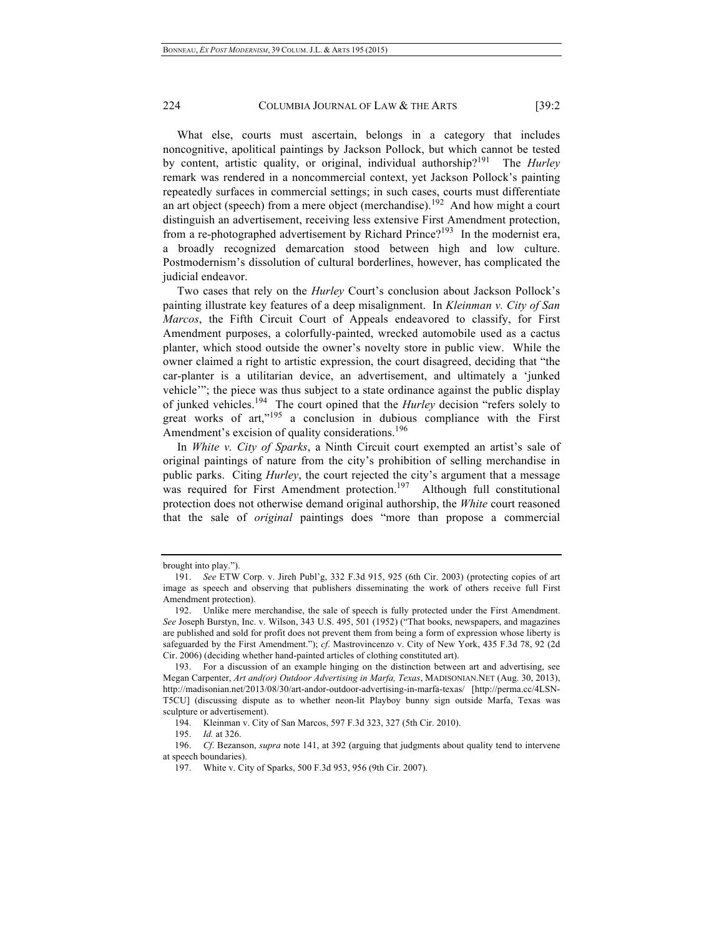What else, courts must ascertain, belongs in a category that includes noncognitive, apolitical paintings by Jackson Pollock, but which cannot be tested by content, artistic quality, or original, individual authorship?191 The *Hurley* remark was rendered in a noncommercial context, yet Jackson Pollock's painting repeatedly surfaces in commercial settings; in such cases, courts must differentiate an art object (speech) from a mere object (merchandise).<sup>192</sup> And how might a court distinguish an advertisement, receiving less extensive First Amendment protection, from a re-photographed advertisement by Richard Prince?<sup>193</sup> In the modernist era, a broadly recognized demarcation stood between high and low culture. Postmodernism's dissolution of cultural borderlines, however, has complicated the judicial endeavor.

Two cases that rely on the *Hurley* Court's conclusion about Jackson Pollock's painting illustrate key features of a deep misalignment. In *Kleinman v. City of San Marcos*, the Fifth Circuit Court of Appeals endeavored to classify, for First Amendment purposes, a colorfully-painted, wrecked automobile used as a cactus planter, which stood outside the owner's novelty store in public view. While the owner claimed a right to artistic expression, the court disagreed, deciding that "the car-planter is a utilitarian device, an advertisement, and ultimately a 'junked vehicle'"; the piece was thus subject to a state ordinance against the public display of junked vehicles.194 The court opined that the *Hurley* decision "refers solely to great works of art,"<sup>195</sup> a conclusion in dubious compliance with the First Amendment's excision of quality considerations.<sup>196</sup>

In *White v. City of Sparks*, a Ninth Circuit court exempted an artist's sale of original paintings of nature from the city's prohibition of selling merchandise in public parks. Citing *Hurley*, the court rejected the city's argument that a message was required for First Amendment protection.<sup>197</sup> Although full constitutional protection does not otherwise demand original authorship, the *White* court reasoned that the sale of *original* paintings does "more than propose a commercial

brought into play."

<sup>191.</sup> *See* ETW Corp. v. Jireh Publ'g, 332 F.3d 915, 925 (6th Cir. 2003) (protecting copies of art image as speech and observing that publishers disseminating the work of others receive full First Amendment protection).

<sup>192.</sup> Unlike mere merchandise, the sale of speech is fully protected under the First Amendment. *See* Joseph Burstyn, Inc. v. Wilson, 343 U.S. 495, 501 (1952) ("That books, newspapers, and magazines are published and sold for profit does not prevent them from being a form of expression whose liberty is safeguarded by the First Amendment."); *cf*. Mastrovincenzo v. City of New York, 435 F.3d 78, 92 (2d Cir. 2006) (deciding whether hand-painted articles of clothing constituted art).

<sup>193.</sup> For a discussion of an example hinging on the distinction between art and advertising, see Megan Carpenter, *Art and(or) Outdoor Advertising in Marfa, Texas*, MADISONIAN.NET (Aug. 30, 2013), http://madisonian.net/2013/08/30/art-andor-outdoor-advertising-in-marfa-texas/ [http://perma.cc/4LSN-T5CU] (discussing dispute as to whether neon-lit Playboy bunny sign outside Marfa, Texas was sculpture or advertisement).

<sup>194.</sup> Kleinman v. City of San Marcos, 597 F.3d 323, 327 (5th Cir. 2010).

<sup>195.</sup> *Id.* at 326.

<sup>196.</sup> *Cf*. Bezanson, *supra* note 141, at 392 (arguing that judgments about quality tend to intervene at speech boundaries).

<sup>197.</sup> White v. City of Sparks, 500 F.3d 953, 956 (9th Cir. 2007).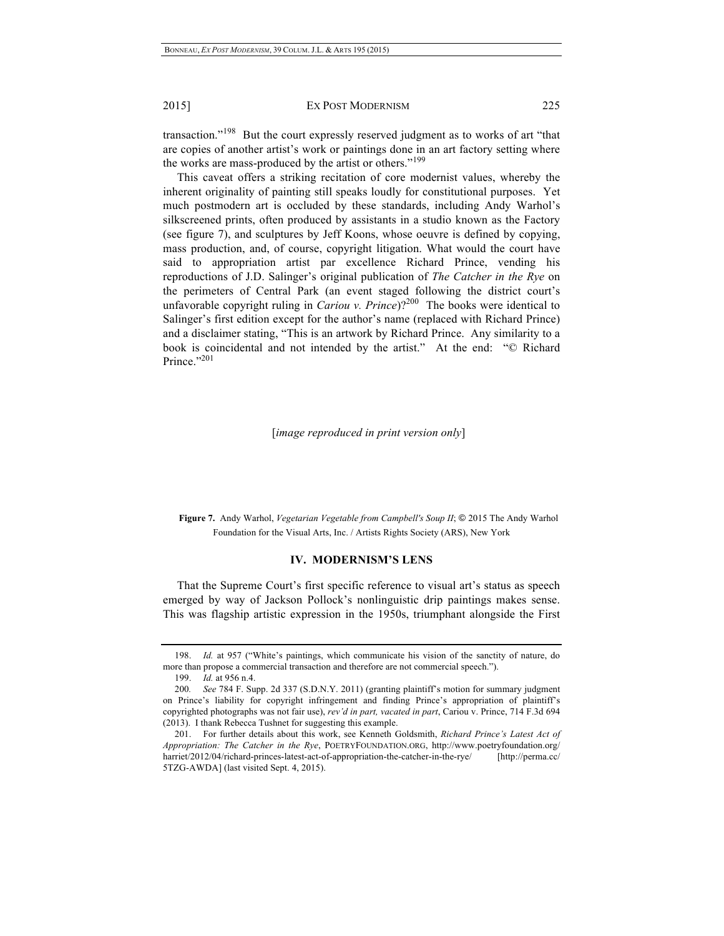transaction."198 But the court expressly reserved judgment as to works of art "that are copies of another artist's work or paintings done in an art factory setting where the works are mass-produced by the artist or others."<sup>199</sup>

This caveat offers a striking recitation of core modernist values, whereby the inherent originality of painting still speaks loudly for constitutional purposes. Yet much postmodern art is occluded by these standards, including Andy Warhol's silkscreened prints, often produced by assistants in a studio known as the Factory (see figure 7), and sculptures by Jeff Koons, whose oeuvre is defined by copying, mass production, and, of course, copyright litigation. What would the court have said to appropriation artist par excellence Richard Prince, vending his reproductions of J.D. Salinger's original publication of *The Catcher in the Rye* on the perimeters of Central Park (an event staged following the district court's unfavorable copyright ruling in *Cariou v. Prince*)?<sup>200</sup> The books were identical to Salinger's first edition except for the author's name (replaced with Richard Prince) and a disclaimer stating, "This is an artwork by Richard Prince. Any similarity to a book is coincidental and not intended by the artist." At the end: "© Richard Prince."201

[*image reproduced in print version only*]

**Figure 7.** Andy Warhol, *Vegetarian Vegetable from Campbell's Soup II*; © 2015 The Andy Warhol Foundation for the Visual Arts, Inc. / Artists Rights Society (ARS), New York

#### **IV. MODERNISM'S LENS**

That the Supreme Court's first specific reference to visual art's status as speech emerged by way of Jackson Pollock's nonlinguistic drip paintings makes sense. This was flagship artistic expression in the 1950s, triumphant alongside the First

<sup>198.</sup> *Id.* at 957 ("White's paintings, which communicate his vision of the sanctity of nature, do more than propose a commercial transaction and therefore are not commercial speech.").

<sup>199.</sup> *Id.* at 956 n.4.

<sup>200</sup>*. See* 784 F. Supp. 2d 337 (S.D.N.Y. 2011) (granting plaintiff's motion for summary judgment on Prince's liability for copyright infringement and finding Prince's appropriation of plaintiff's copyrighted photographs was not fair use), *rev'd in part, vacated in part*, Cariou v. Prince, 714 F.3d 694 (2013). I thank Rebecca Tushnet for suggesting this example.

<sup>201.</sup> For further details about this work, see Kenneth Goldsmith, *Richard Prince's Latest Act of Appropriation: The Catcher in the Rye*, POETRYFOUNDATION.ORG, http://www.poetryfoundation.org/ harriet/2012/04/richard-princes-latest-act-of-appropriation-the-catcher-in-the-rye/ [http://perma.cc/ 5TZG-AWDA] (last visited Sept. 4, 2015).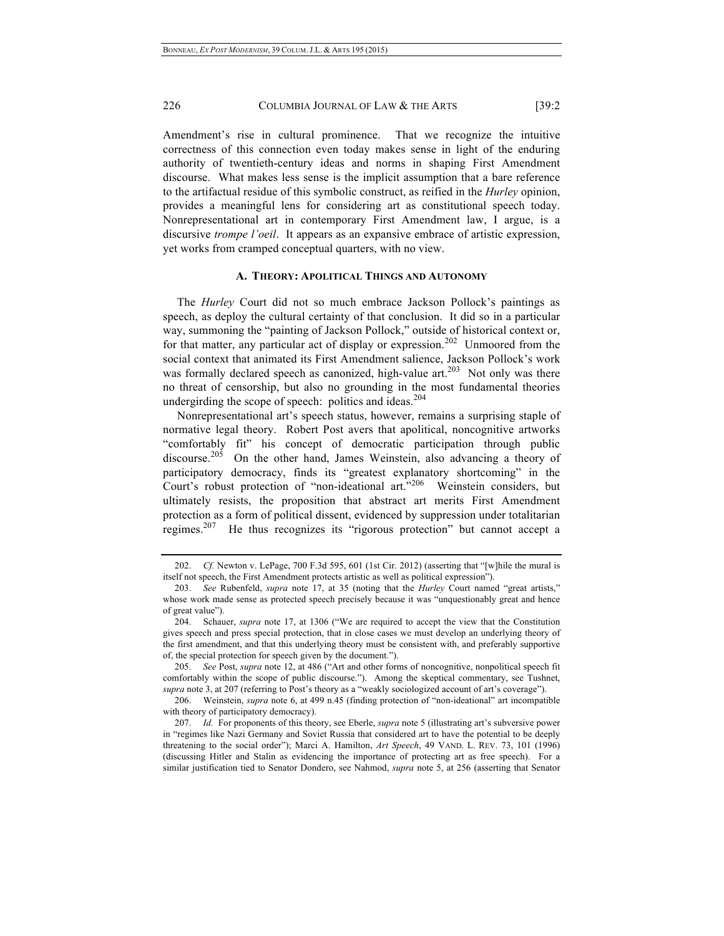Amendment's rise in cultural prominence. That we recognize the intuitive correctness of this connection even today makes sense in light of the enduring authority of twentieth-century ideas and norms in shaping First Amendment discourse. What makes less sense is the implicit assumption that a bare reference to the artifactual residue of this symbolic construct, as reified in the *Hurley* opinion, provides a meaningful lens for considering art as constitutional speech today. Nonrepresentational art in contemporary First Amendment law, I argue, is a discursive *trompe l'oeil*. It appears as an expansive embrace of artistic expression, yet works from cramped conceptual quarters, with no view.

#### **A. THEORY: APOLITICAL THINGS AND AUTONOMY**

The *Hurley* Court did not so much embrace Jackson Pollock's paintings as speech, as deploy the cultural certainty of that conclusion. It did so in a particular way, summoning the "painting of Jackson Pollock," outside of historical context or, for that matter, any particular act of display or expression.<sup>202</sup> Unmoored from the social context that animated its First Amendment salience, Jackson Pollock's work was formally declared speech as canonized, high-value art.<sup>203</sup> Not only was there no threat of censorship, but also no grounding in the most fundamental theories undergirding the scope of speech: politics and ideas.<sup>204</sup>

Nonrepresentational art's speech status, however, remains a surprising staple of normative legal theory. Robert Post avers that apolitical, noncognitive artworks "comfortably fit" his concept of democratic participation through public discourse.<sup>205</sup> On the other hand, James Weinstein, also advancing a theory of participatory democracy, finds its "greatest explanatory shortcoming" in the Court's robust protection of "non-ideational art."206 Weinstein considers, but ultimately resists, the proposition that abstract art merits First Amendment protection as a form of political dissent, evidenced by suppression under totalitarian regimes.207 He thus recognizes its "rigorous protection" but cannot accept a

<sup>202.</sup> *Cf.* Newton v. LePage, 700 F.3d 595, 601 (1st Cir. 2012) (asserting that "[w]hile the mural is itself not speech, the First Amendment protects artistic as well as political expression").

<sup>203.</sup> *See* Rubenfeld, *supra* note 17, at 35 (noting that the *Hurley* Court named "great artists," whose work made sense as protected speech precisely because it was "unquestionably great and hence of great value").

<sup>204.</sup> Schauer, *supra* note 17, at 1306 ("We are required to accept the view that the Constitution gives speech and press special protection, that in close cases we must develop an underlying theory of the first amendment, and that this underlying theory must be consistent with, and preferably supportive of, the special protection for speech given by the document.").

<sup>205.</sup> *See* Post, *supra* note 12, at 486 ("Art and other forms of noncognitive, nonpolitical speech fit comfortably within the scope of public discourse."). Among the skeptical commentary, see Tushnet, *supra* note 3, at 207 (referring to Post's theory as a "weakly sociologized account of art's coverage").

<sup>206.</sup> Weinstein, *supra* note 6, at 499 n.45 (finding protection of "non-ideational" art incompatible with theory of participatory democracy).

<sup>207.</sup> *Id.* For proponents of this theory, see Eberle, *supra* note 5 (illustrating art's subversive power in "regimes like Nazi Germany and Soviet Russia that considered art to have the potential to be deeply threatening to the social order"); Marci A. Hamilton, *Art Speech*, 49 VAND. L. REV. 73, 101 (1996) (discussing Hitler and Stalin as evidencing the importance of protecting art as free speech). For a similar justification tied to Senator Dondero, see Nahmod, *supra* note 5, at 256 (asserting that Senator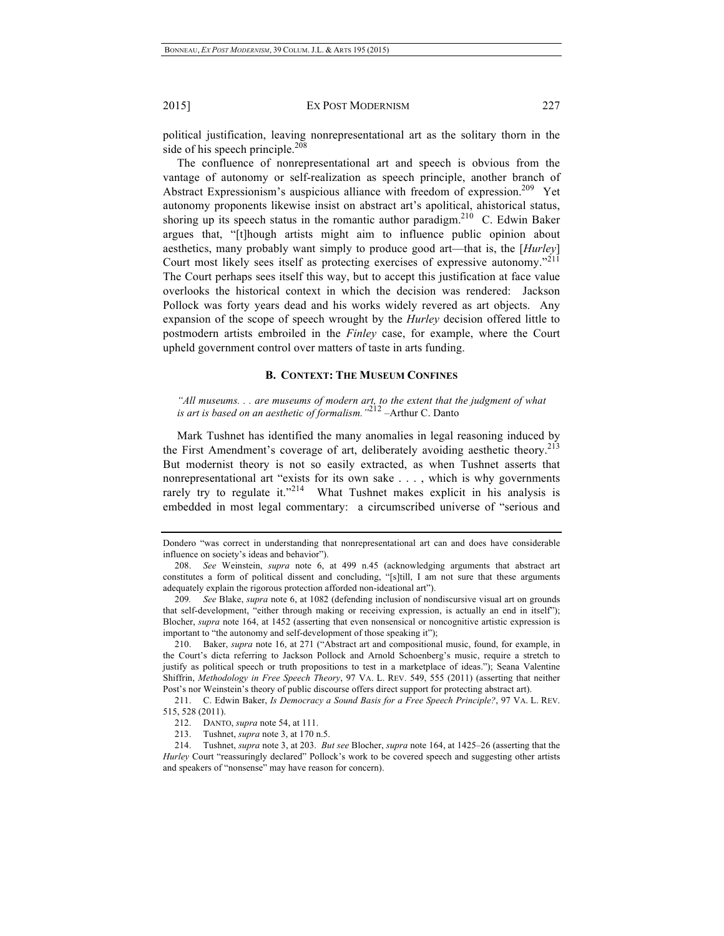political justification, leaving nonrepresentational art as the solitary thorn in the side of his speech principle. $208$ 

The confluence of nonrepresentational art and speech is obvious from the vantage of autonomy or self-realization as speech principle, another branch of Abstract Expressionism's auspicious alliance with freedom of expression.<sup>209</sup> Yet autonomy proponents likewise insist on abstract art's apolitical, ahistorical status, shoring up its speech status in the romantic author paradigm.<sup>210</sup> C. Edwin Baker argues that, "[t]hough artists might aim to influence public opinion about aesthetics, many probably want simply to produce good art—that is, the [*Hurley*] Court most likely sees itself as protecting exercises of expressive autonomy."211 The Court perhaps sees itself this way, but to accept this justification at face value overlooks the historical context in which the decision was rendered: Jackson Pollock was forty years dead and his works widely revered as art objects. Any expansion of the scope of speech wrought by the *Hurley* decision offered little to postmodern artists embroiled in the *Finley* case, for example, where the Court upheld government control over matters of taste in arts funding.

## **B. CONTEXT: THE MUSEUM CONFINES**

*"All museums. . . are museums of modern art, to the extent that the judgment of what is art is based on an aesthetic of formalism."*<sup>212</sup> –Arthur C. Danto

Mark Tushnet has identified the many anomalies in legal reasoning induced by the First Amendment's coverage of art, deliberately avoiding aesthetic theory.<sup>213</sup> But modernist theory is not so easily extracted, as when Tushnet asserts that nonrepresentational art "exists for its own sake . . . , which is why governments rarely try to regulate it."<sup>214</sup> What Tushnet makes explicit in his analysis is embedded in most legal commentary: a circumscribed universe of "serious and

210. Baker, *supra* note 16, at 271 ("Abstract art and compositional music, found, for example, in the Court's dicta referring to Jackson Pollock and Arnold Schoenberg's music, require a stretch to justify as political speech or truth propositions to test in a marketplace of ideas."); Seana Valentine Shiffrin, *Methodology in Free Speech Theory*, 97 VA. L. REV. 549, 555 (2011) (asserting that neither Post's nor Weinstein's theory of public discourse offers direct support for protecting abstract art).

211. C. Edwin Baker, *Is Democracy a Sound Basis for a Free Speech Principle?*, 97 VA. L. REV. 515, 528 (2011).

Dondero "was correct in understanding that nonrepresentational art can and does have considerable influence on society's ideas and behavior").

<sup>208.</sup> *See* Weinstein, *supra* note 6, at 499 n.45 (acknowledging arguments that abstract art constitutes a form of political dissent and concluding, "[s]till, I am not sure that these arguments adequately explain the rigorous protection afforded non-ideational art").

<sup>209</sup>*. See* Blake, *supra* note 6, at 1082 (defending inclusion of nondiscursive visual art on grounds that self-development, "either through making or receiving expression, is actually an end in itself"); Blocher, *supra* note 164, at 1452 (asserting that even nonsensical or noncognitive artistic expression is important to "the autonomy and self-development of those speaking it");

<sup>212.</sup> DANTO, *supra* note 54, at 111.

<sup>213.</sup> Tushnet, *supra* note 3, at 170 n.5.

<sup>214.</sup> Tushnet, *supra* note 3, at 203. *But see* Blocher, *supra* note 164, at 1425–26 (asserting that the *Hurley* Court "reassuringly declared" Pollock's work to be covered speech and suggesting other artists and speakers of "nonsense" may have reason for concern).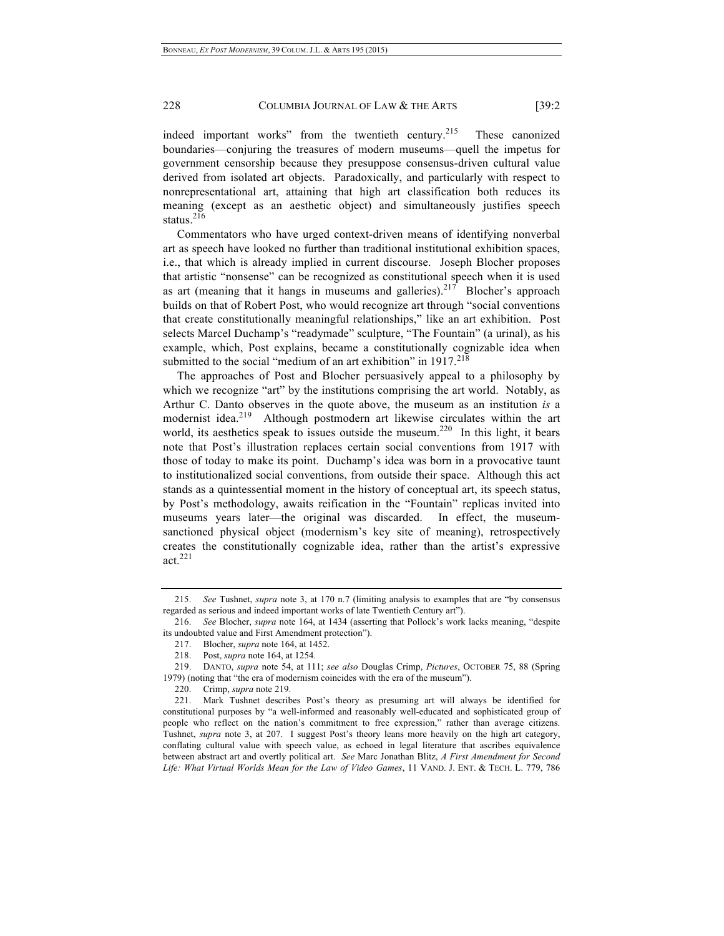indeed important works" from the twentieth century.<sup>215</sup> These canonized boundaries—conjuring the treasures of modern museums—quell the impetus for government censorship because they presuppose consensus-driven cultural value derived from isolated art objects. Paradoxically, and particularly with respect to nonrepresentational art, attaining that high art classification both reduces its meaning (except as an aesthetic object) and simultaneously justifies speech status.<sup>216</sup>

Commentators who have urged context-driven means of identifying nonverbal art as speech have looked no further than traditional institutional exhibition spaces, i.e., that which is already implied in current discourse. Joseph Blocher proposes that artistic "nonsense" can be recognized as constitutional speech when it is used as art (meaning that it hangs in museums and galleries).<sup>217</sup> Blocher's approach builds on that of Robert Post, who would recognize art through "social conventions that create constitutionally meaningful relationships," like an art exhibition. Post selects Marcel Duchamp's "readymade" sculpture, "The Fountain" (a urinal), as his example, which, Post explains, became a constitutionally cognizable idea when submitted to the social "medium of an art exhibition" in  $1917<sup>218</sup>$ 

The approaches of Post and Blocher persuasively appeal to a philosophy by which we recognize "art" by the institutions comprising the art world. Notably, as Arthur C. Danto observes in the quote above, the museum as an institution *is* a modernist idea.<sup>219</sup> Although postmodern art likewise circulates within the art world, its aesthetics speak to issues outside the museum.<sup>220</sup> In this light, it bears note that Post's illustration replaces certain social conventions from 1917 with those of today to make its point. Duchamp's idea was born in a provocative taunt to institutionalized social conventions, from outside their space. Although this act stands as a quintessential moment in the history of conceptual art, its speech status, by Post's methodology, awaits reification in the "Fountain" replicas invited into museums years later—the original was discarded. In effect, the museumsanctioned physical object (modernism's key site of meaning), retrospectively creates the constitutionally cognizable idea, rather than the artist's expressive act.<sup>221</sup>

<sup>215.</sup> *See* Tushnet, *supra* note 3, at 170 n.7 (limiting analysis to examples that are "by consensus regarded as serious and indeed important works of late Twentieth Century art").

<sup>216.</sup> *See* Blocher, *supra* note 164, at 1434 (asserting that Pollock's work lacks meaning, "despite its undoubted value and First Amendment protection").

<sup>217.</sup> Blocher, *supra* note 164, at 1452.

<sup>218.</sup> Post, *supra* note 164, at 1254.

<sup>219.</sup> DANTO, *supra* note 54, at 111; *see also* Douglas Crimp, *Pictures*, OCTOBER 75, 88 (Spring 1979) (noting that "the era of modernism coincides with the era of the museum").

<sup>220.</sup> Crimp, *supra* note 219.

<sup>221.</sup> Mark Tushnet describes Post's theory as presuming art will always be identified for constitutional purposes by "a well-informed and reasonably well-educated and sophisticated group of people who reflect on the nation's commitment to free expression," rather than average citizens. Tushnet, *supra* note 3, at 207. I suggest Post's theory leans more heavily on the high art category, conflating cultural value with speech value, as echoed in legal literature that ascribes equivalence between abstract art and overtly political art. *See* Marc Jonathan Blitz, *A First Amendment for Second Life: What Virtual Worlds Mean for the Law of Video Games*, 11 VAND. J. ENT. & TECH. L. 779, 786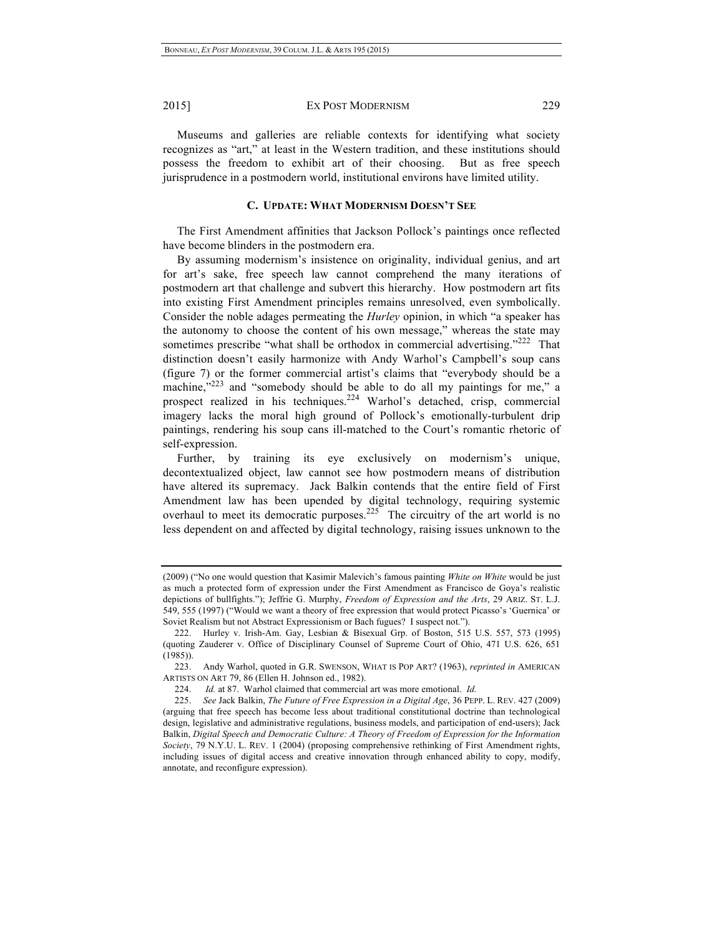Museums and galleries are reliable contexts for identifying what society recognizes as "art," at least in the Western tradition, and these institutions should possess the freedom to exhibit art of their choosing. But as free speech jurisprudence in a postmodern world, institutional environs have limited utility.

#### **C. UPDATE: WHAT MODERNISM DOESN'T SEE**

The First Amendment affinities that Jackson Pollock's paintings once reflected have become blinders in the postmodern era.

By assuming modernism's insistence on originality, individual genius, and art for art's sake, free speech law cannot comprehend the many iterations of postmodern art that challenge and subvert this hierarchy. How postmodern art fits into existing First Amendment principles remains unresolved, even symbolically. Consider the noble adages permeating the *Hurley* opinion, in which "a speaker has the autonomy to choose the content of his own message," whereas the state may sometimes prescribe "what shall be orthodox in commercial advertising."<sup>222</sup> That distinction doesn't easily harmonize with Andy Warhol's Campbell's soup cans (figure 7) or the former commercial artist's claims that "everybody should be a machine,"<sup>223</sup> and "somebody should be able to do all my paintings for me," a prospect realized in his techniques.<sup>224</sup> Warhol's detached, crisp, commercial imagery lacks the moral high ground of Pollock's emotionally-turbulent drip paintings, rendering his soup cans ill-matched to the Court's romantic rhetoric of self-expression.

Further, by training its eye exclusively on modernism's unique, decontextualized object, law cannot see how postmodern means of distribution have altered its supremacy. Jack Balkin contends that the entire field of First Amendment law has been upended by digital technology, requiring systemic overhaul to meet its democratic purposes.<sup>225</sup> The circuitry of the art world is no less dependent on and affected by digital technology, raising issues unknown to the

<sup>(2009) (&</sup>quot;No one would question that Kasimir Malevich's famous painting *White on White* would be just as much a protected form of expression under the First Amendment as Francisco de Goya's realistic depictions of bullfights."); Jeffrie G. Murphy, *Freedom of Expression and the Arts*, 29 ARIZ. ST. L.J. 549, 555 (1997) ("Would we want a theory of free expression that would protect Picasso's 'Guernica' or Soviet Realism but not Abstract Expressionism or Bach fugues? I suspect not.").

<sup>222.</sup> Hurley v. Irish-Am. Gay, Lesbian & Bisexual Grp. of Boston, 515 U.S. 557, 573 (1995) (quoting Zauderer v. Office of Disciplinary Counsel of Supreme Court of Ohio, 471 U.S. 626, 651 (1985)).

<sup>223.</sup> Andy Warhol, quoted in G.R. SWENSON, WHAT IS POP ART? (1963), *reprinted in* AMERICAN ARTISTS ON ART 79, 86 (Ellen H. Johnson ed., 1982).

<sup>224.</sup> *Id.* at 87. Warhol claimed that commercial art was more emotional. *Id.*

<sup>225.</sup> *See* Jack Balkin, *The Future of Free Expression in a Digital Age*, 36 PEPP. L. REV. 427 (2009) (arguing that free speech has become less about traditional constitutional doctrine than technological design, legislative and administrative regulations, business models, and participation of end-users); Jack Balkin, *Digital Speech and Democratic Culture: A Theory of Freedom of Expression for the Information Society*, 79 N.Y.U. L. REV. 1 (2004) (proposing comprehensive rethinking of First Amendment rights, including issues of digital access and creative innovation through enhanced ability to copy, modify, annotate, and reconfigure expression).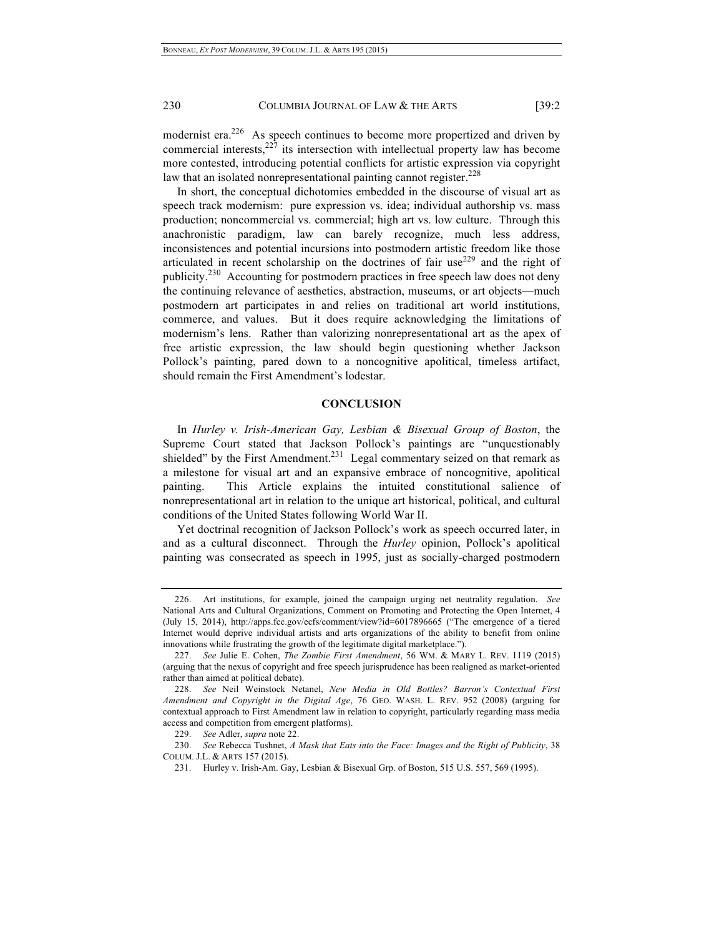modernist era.<sup>226</sup> As speech continues to become more propertized and driven by commercial interests, $227$  its intersection with intellectual property law has become more contested, introducing potential conflicts for artistic expression via copyright law that an isolated nonrepresentational painting cannot register.<sup>228</sup>

In short, the conceptual dichotomies embedded in the discourse of visual art as speech track modernism: pure expression vs. idea; individual authorship vs. mass production; noncommercial vs. commercial; high art vs. low culture. Through this anachronistic paradigm, law can barely recognize, much less address, inconsistences and potential incursions into postmodern artistic freedom like those articulated in recent scholarship on the doctrines of fair use<sup>229</sup> and the right of publicity.230 Accounting for postmodern practices in free speech law does not deny the continuing relevance of aesthetics, abstraction, museums, or art objects—much postmodern art participates in and relies on traditional art world institutions, commerce, and values. But it does require acknowledging the limitations of modernism's lens. Rather than valorizing nonrepresentational art as the apex of free artistic expression, the law should begin questioning whether Jackson Pollock's painting, pared down to a noncognitive apolitical, timeless artifact, should remain the First Amendment's lodestar.

# **CONCLUSION**

In *Hurley v. Irish-American Gay, Lesbian & Bisexual Group of Boston*, the Supreme Court stated that Jackson Pollock's paintings are "unquestionably shielded" by the First Amendment.<sup>231</sup> Legal commentary seized on that remark as a milestone for visual art and an expansive embrace of noncognitive, apolitical painting. This Article explains the intuited constitutional salience of nonrepresentational art in relation to the unique art historical, political, and cultural conditions of the United States following World War II.

Yet doctrinal recognition of Jackson Pollock's work as speech occurred later, in and as a cultural disconnect. Through the *Hurley* opinion, Pollock's apolitical painting was consecrated as speech in 1995, just as socially-charged postmodern

<sup>226.</sup> Art institutions, for example, joined the campaign urging net neutrality regulation. *See* National Arts and Cultural Organizations, Comment on Promoting and Protecting the Open Internet, 4 (July 15, 2014), http://apps.fcc.gov/ecfs/comment/view?id=6017896665 ("The emergence of a tiered Internet would deprive individual artists and arts organizations of the ability to benefit from online innovations while frustrating the growth of the legitimate digital marketplace.").

<sup>227.</sup> *See* Julie E. Cohen, *The Zombie First Amendment*, 56 WM. & MARY L. REV. 1119 (2015) (arguing that the nexus of copyright and free speech jurisprudence has been realigned as market-oriented rather than aimed at political debate).

<sup>228.</sup> *See* Neil Weinstock Netanel, *New Media in Old Bottles? Barron's Contextual First Amendment and Copyright in the Digital Age*, 76 GEO. WASH. L. REV. 952 (2008) (arguing for contextual approach to First Amendment law in relation to copyright, particularly regarding mass media access and competition from emergent platforms).

<sup>229.</sup> *See* Adler, *supra* note 22.

<sup>230.</sup> *See* Rebecca Tushnet, *A Mask that Eats into the Face: Images and the Right of Publicity*, 38 COLUM. J.L. & ARTS 157 (2015).

<sup>231.</sup> Hurley v. Irish-Am. Gay, Lesbian & Bisexual Grp. of Boston, 515 U.S. 557, 569 (1995).